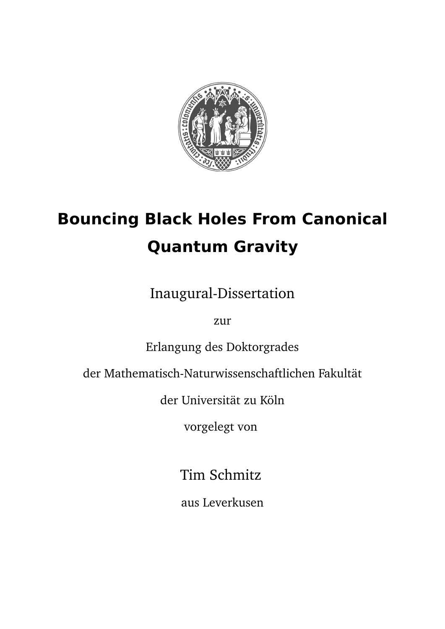

# **Bouncing Black Holes From Canonical Quantum Gravity**

Inaugural-Dissertation

zur

Erlangung des Doktorgrades

der Mathematisch-Naturwissenschaftlichen Fakultät

der Universität zu Köln

vorgelegt von

Tim Schmitz

aus Leverkusen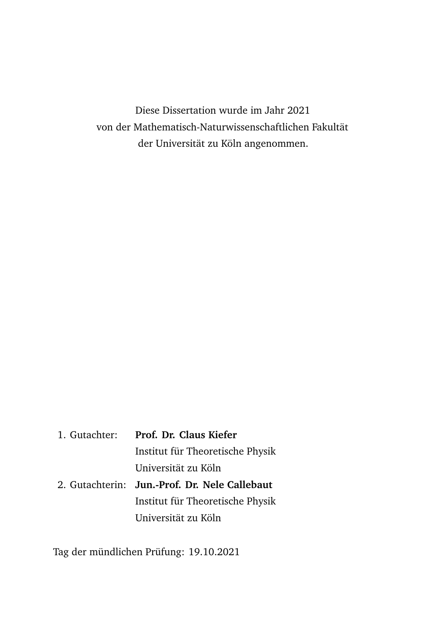Diese Dissertation wurde im Jahr 2021 von der Mathematisch-Naturwissenschaftlichen Fakultät der Universität zu Köln angenommen.

1. Gutachter: **Prof. Dr. Claus Kiefer** Institut für Theoretische Physik Universität zu Köln 2. Gutachterin: **Jun.-Prof. Dr. Nele Callebaut** Institut für Theoretische Physik Universität zu Köln

Tag der mündlichen Prüfung: 19.10.2021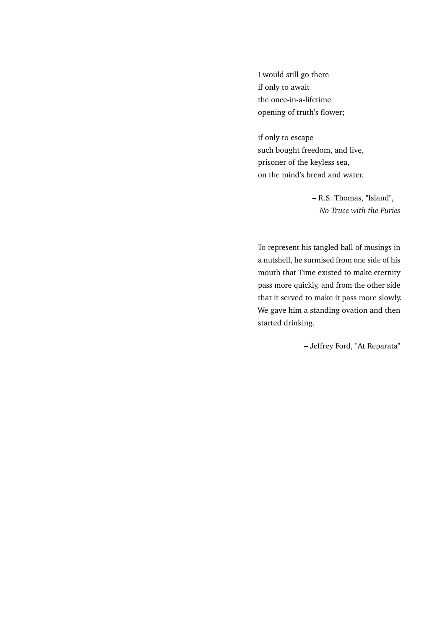I would still go there if only to await the once-in-a-lifetime opening of truth's flower;

if only to escape such bought freedom, and live, prisoner of the keyless sea, on the mind's bread and water.

> – R.S. Thomas, "Island", *No Truce with the Furies*

To represent his tangled ball of musings in a nutshell, he surmised from one side of his mouth that Time existed to make eternity pass more quickly, and from the other side that it served to make it pass more slowly. We gave him a standing ovation and then started drinking.

– Jeffrey Ford, "At Reparata"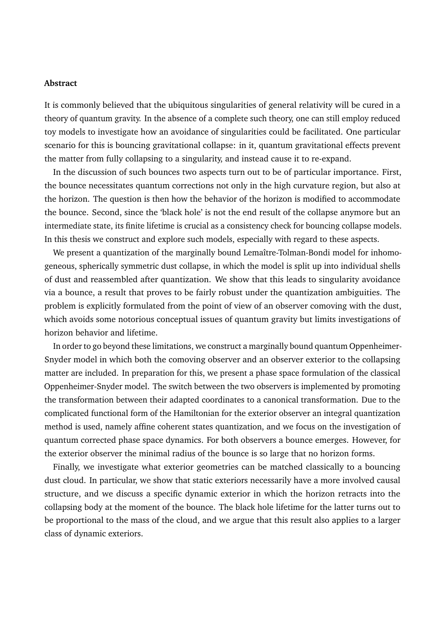#### **Abstract**

It is commonly believed that the ubiquitous singularities of general relativity will be cured in a theory of quantum gravity. In the absence of a complete such theory, one can still employ reduced toy models to investigate how an avoidance of singularities could be facilitated. One particular scenario for this is bouncing gravitational collapse: in it, quantum gravitational effects prevent the matter from fully collapsing to a singularity, and instead cause it to re-expand.

In the discussion of such bounces two aspects turn out to be of particular importance. First, the bounce necessitates quantum corrections not only in the high curvature region, but also at the horizon. The question is then how the behavior of the horizon is modified to accommodate the bounce. Second, since the 'black hole' is not the end result of the collapse anymore but an intermediate state, its finite lifetime is crucial as a consistency check for bouncing collapse models. In this thesis we construct and explore such models, especially with regard to these aspects.

We present a quantization of the marginally bound Lemaître-Tolman-Bondi model for inhomogeneous, spherically symmetric dust collapse, in which the model is split up into individual shells of dust and reassembled after quantization. We show that this leads to singularity avoidance via a bounce, a result that proves to be fairly robust under the quantization ambiguities. The problem is explicitly formulated from the point of view of an observer comoving with the dust, which avoids some notorious conceptual issues of quantum gravity but limits investigations of horizon behavior and lifetime.

In order to go beyond these limitations, we construct a marginally bound quantum Oppenheimer-Snyder model in which both the comoving observer and an observer exterior to the collapsing matter are included. In preparation for this, we present a phase space formulation of the classical Oppenheimer-Snyder model. The switch between the two observers is implemented by promoting the transformation between their adapted coordinates to a canonical transformation. Due to the complicated functional form of the Hamiltonian for the exterior observer an integral quantization method is used, namely affine coherent states quantization, and we focus on the investigation of quantum corrected phase space dynamics. For both observers a bounce emerges. However, for the exterior observer the minimal radius of the bounce is so large that no horizon forms.

Finally, we investigate what exterior geometries can be matched classically to a bouncing dust cloud. In particular, we show that static exteriors necessarily have a more involved causal structure, and we discuss a specific dynamic exterior in which the horizon retracts into the collapsing body at the moment of the bounce. The black hole lifetime for the latter turns out to be proportional to the mass of the cloud, and we argue that this result also applies to a larger class of dynamic exteriors.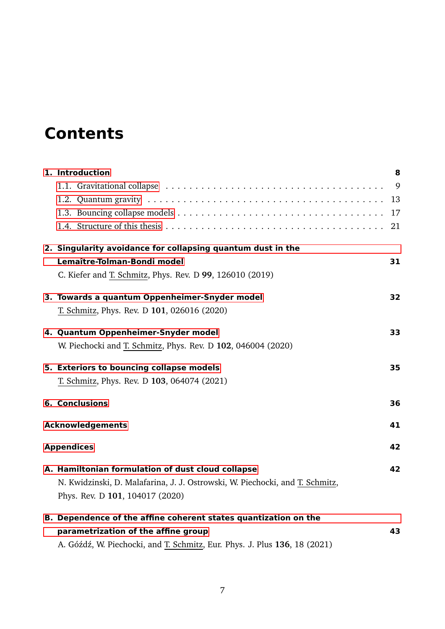# **Contents**

| 1. Introduction                                                              | 8  |
|------------------------------------------------------------------------------|----|
|                                                                              | 9  |
|                                                                              | 13 |
|                                                                              | 17 |
|                                                                              | 21 |
| 2. Singularity avoidance for collapsing quantum dust in the                  |    |
| Lemaître-Tolman-Bondi model                                                  | 31 |
| C. Kiefer and T. Schmitz, Phys. Rev. D 99, 126010 (2019)                     |    |
| 3. Towards a quantum Oppenheimer-Snyder model                                | 32 |
| T. Schmitz, Phys. Rev. D 101, 026016 (2020)                                  |    |
| 4. Quantum Oppenheimer-Snyder model                                          | 33 |
| W. Piechocki and T. Schmitz, Phys. Rev. D 102, 046004 (2020)                 |    |
| 5. Exteriors to bouncing collapse models                                     | 35 |
| T. Schmitz, Phys. Rev. D 103, 064074 (2021)                                  |    |
| <b>6. Conclusions</b>                                                        | 36 |
| <b>Acknowledgements</b>                                                      | 41 |
| <b>Appendices</b>                                                            |    |
| A. Hamiltonian formulation of dust cloud collapse                            | 42 |
| N. Kwidzinski, D. Malafarina, J. J. Ostrowski, W. Piechocki, and T. Schmitz, |    |
| Phys. Rev. D 101, 104017 (2020)                                              |    |
| B. Dependence of the affine coherent states quantization on the              |    |
| parametrization of the affine group                                          | 43 |
| A. Góźdź, W. Piechocki, and T. Schmitz, Eur. Phys. J. Plus 136, 18 (2021)    |    |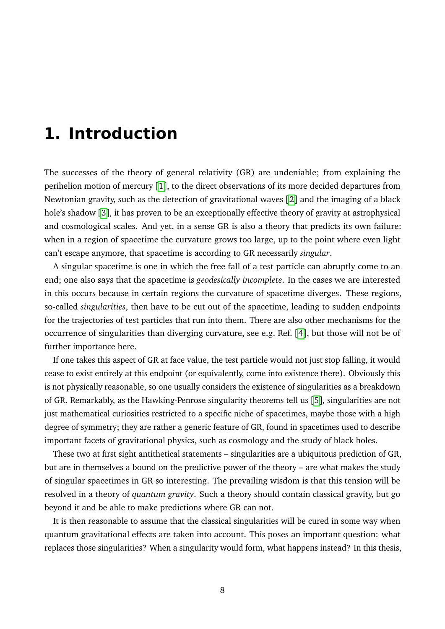# <span id="page-7-0"></span>**1. Introduction**

The successes of the theory of general relativity (GR) are undeniable; from explaining the perihelion motion of mercury [[1](#page-26-0)], to the direct observations of its more decided departures from Newtonian gravity, such as the detection of gravitational waves [[2](#page-26-1)] and the imaging of a black hole's shadow [[3](#page-26-2)], it has proven to be an exceptionally effective theory of gravity at astrophysical and cosmological scales. And yet, in a sense GR is also a theory that predicts its own failure: when in a region of spacetime the curvature grows too large, up to the point where even light can't escape anymore, that spacetime is according to GR necessarily *singular*.

A singular spacetime is one in which the free fall of a test particle can abruptly come to an end; one also says that the spacetime is *geodesically incomplete*. In the cases we are interested in this occurs because in certain regions the curvature of spacetime diverges. These regions, so-called *singularities*, then have to be cut out of the spacetime, leading to sudden endpoints for the trajectories of test particles that run into them. There are also other mechanisms for the occurrence of singularities than diverging curvature, see e.g. Ref. [[4](#page-26-3)], but those will not be of further importance here.

If one takes this aspect of GR at face value, the test particle would not just stop falling, it would cease to exist entirely at this endpoint (or equivalently, come into existence there). Obviously this is not physically reasonable, so one usually considers the existence of singularities as a breakdown of GR. Remarkably, as the Hawking-Penrose singularity theorems tell us [[5](#page-26-4)], singularities are not just mathematical curiosities restricted to a specific niche of spacetimes, maybe those with a high degree of symmetry; they are rather a generic feature of GR, found in spacetimes used to describe important facets of gravitational physics, such as cosmology and the study of black holes.

These two at first sight antithetical statements – singularities are a ubiquitous prediction of GR, but are in themselves a bound on the predictive power of the theory – are what makes the study of singular spacetimes in GR so interesting. The prevailing wisdom is that this tension will be resolved in a theory of *quantum gravity*. Such a theory should contain classical gravity, but go beyond it and be able to make predictions where GR can not.

It is then reasonable to assume that the classical singularities will be cured in some way when quantum gravitational effects are taken into account. This poses an important question: what replaces those singularities? When a singularity would form, what happens instead? In this thesis,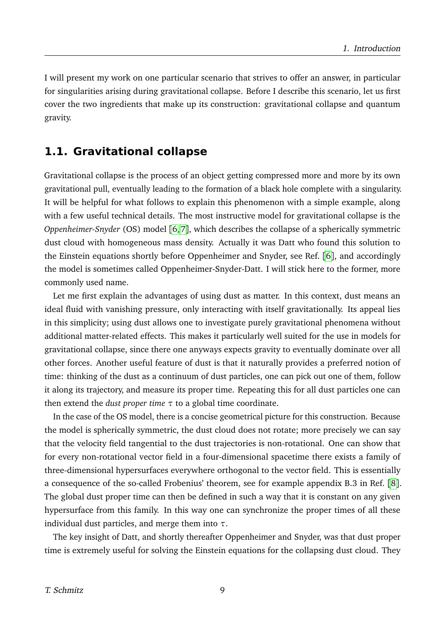I will present my work on one particular scenario that strives to offer an answer, in particular for singularities arising during gravitational collapse. Before I describe this scenario, let us first cover the two ingredients that make up its construction: gravitational collapse and quantum gravity.

### <span id="page-8-0"></span>**1.1. Gravitational collapse**

Gravitational collapse is the process of an object getting compressed more and more by its own gravitational pull, eventually leading to the formation of a black hole complete with a singularity. It will be helpful for what follows to explain this phenomenon with a simple example, along with a few useful technical details. The most instructive model for gravitational collapse is the *Oppenheimer-Snyder* (OS) model [[6,](#page-26-5) [7](#page-26-6)], which describes the collapse of a spherically symmetric dust cloud with homogeneous mass density. Actually it was Datt who found this solution to the Einstein equations shortly before Oppenheimer and Snyder, see Ref. [[6](#page-26-5)], and accordingly the model is sometimes called Oppenheimer-Snyder-Datt. I will stick here to the former, more commonly used name.

Let me first explain the advantages of using dust as matter. In this context, dust means an ideal fluid with vanishing pressure, only interacting with itself gravitationally. Its appeal lies in this simplicity; using dust allows one to investigate purely gravitational phenomena without additional matter-related effects. This makes it particularly well suited for the use in models for gravitational collapse, since there one anyways expects gravity to eventually dominate over all other forces. Another useful feature of dust is that it naturally provides a preferred notion of time: thinking of the dust as a continuum of dust particles, one can pick out one of them, follow it along its trajectory, and measure its proper time. Repeating this for all dust particles one can then extend the *dust proper time*  $\tau$  to a global time coordinate.

In the case of the OS model, there is a concise geometrical picture for this construction. Because the model is spherically symmetric, the dust cloud does not rotate; more precisely we can say that the velocity field tangential to the dust trajectories is non-rotational. One can show that for every non-rotational vector field in a four-dimensional spacetime there exists a family of three-dimensional hypersurfaces everywhere orthogonal to the vector field. This is essentially a consequence of the so-called Frobenius' theorem, see for example appendix B.3 in Ref. [[8](#page-26-7)]. The global dust proper time can then be defined in such a way that it is constant on any given hypersurface from this family. In this way one can synchronize the proper times of all these individual dust particles, and merge them into *τ*.

The key insight of Datt, and shortly thereafter Oppenheimer and Snyder, was that dust proper time is extremely useful for solving the Einstein equations for the collapsing dust cloud. They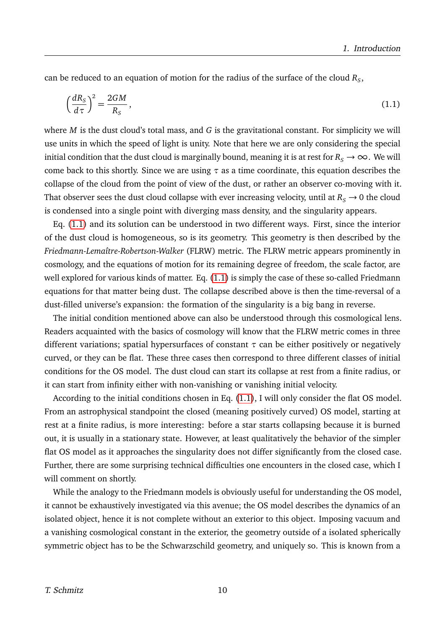can be reduced to an equation of motion for the radius of the surface of the cloud  $R_S$ ,

<span id="page-9-0"></span>
$$
\left(\frac{dR_S}{d\tau}\right)^2 = \frac{2GM}{R_S},\tag{1.1}
$$

where *M* is the dust cloud's total mass, and *G* is the gravitational constant. For simplicity we will use units in which the speed of light is unity. Note that here we are only considering the special initial condition that the dust cloud is marginally bound, meaning it is at rest for  $R_s \to \infty$ . We will come back to this shortly. Since we are using *τ* as a time coordinate, this equation describes the collapse of the cloud from the point of view of the dust, or rather an observer co-moving with it. That observer sees the dust cloud collapse with ever increasing velocity, until at  $R_s \rightarrow 0$  the cloud is condensed into a single point with diverging mass density, and the singularity appears.

Eq. [\(1.1\)](#page-9-0) and its solution can be understood in two different ways. First, since the interior of the dust cloud is homogeneous, so is its geometry. This geometry is then described by the *Friedmann-Lemaître-Robertson-Walker* (FLRW) metric. The FLRW metric appears prominently in cosmology, and the equations of motion for its remaining degree of freedom, the scale factor, are well explored for various kinds of matter. Eq. [\(1.1\)](#page-9-0) is simply the case of these so-called Friedmann equations for that matter being dust. The collapse described above is then the time-reversal of a dust-filled universe's expansion: the formation of the singularity is a big bang in reverse.

The initial condition mentioned above can also be understood through this cosmological lens. Readers acquainted with the basics of cosmology will know that the FLRW metric comes in three different variations; spatial hypersurfaces of constant *τ* can be either positively or negatively curved, or they can be flat. These three cases then correspond to three different classes of initial conditions for the OS model. The dust cloud can start its collapse at rest from a finite radius, or it can start from infinity either with non-vanishing or vanishing initial velocity.

According to the initial conditions chosen in Eq. [\(1.1\)](#page-9-0), I will only consider the flat OS model. From an astrophysical standpoint the closed (meaning positively curved) OS model, starting at rest at a finite radius, is more interesting: before a star starts collapsing because it is burned out, it is usually in a stationary state. However, at least qualitatively the behavior of the simpler flat OS model as it approaches the singularity does not differ significantly from the closed case. Further, there are some surprising technical difficulties one encounters in the closed case, which I will comment on shortly.

While the analogy to the Friedmann models is obviously useful for understanding the OS model, it cannot be exhaustively investigated via this avenue; the OS model describes the dynamics of an isolated object, hence it is not complete without an exterior to this object. Imposing vacuum and a vanishing cosmological constant in the exterior, the geometry outside of a isolated spherically symmetric object has to be the Schwarzschild geometry, and uniquely so. This is known from a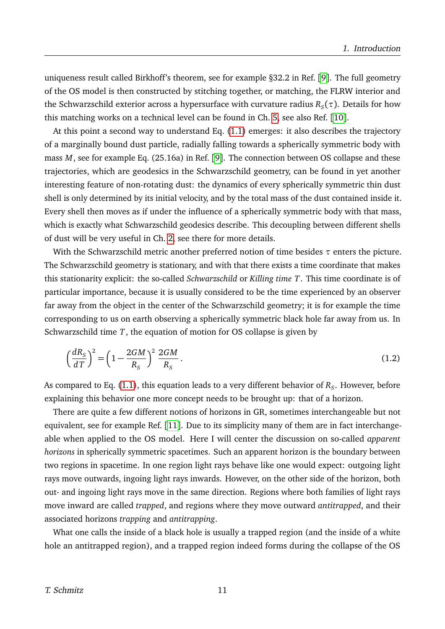uniqueness result called Birkhoff's theorem, see for example §32.2 in Ref. [[9](#page-26-8)]. The full geometry of the OS model is then constructed by stitching together, or matching, the FLRW interior and the Schwarzschild exterior across a hypersurface with curvature radius  $R_S(\tau).$  Details for how this matching works on a technical level can be found in Ch. [5,](#page-34-0) see also Ref. [[10](#page-26-9)].

At this point a second way to understand Eq. [\(1.1\)](#page-9-0) emerges: it also describes the trajectory of a marginally bound dust particle, radially falling towards a spherically symmetric body with mass *M*, see for example Eq. (25.16a) in Ref. [[9](#page-26-8)]. The connection between OS collapse and these trajectories, which are geodesics in the Schwarzschild geometry, can be found in yet another interesting feature of non-rotating dust: the dynamics of every spherically symmetric thin dust shell is only determined by its initial velocity, and by the total mass of the dust contained inside it. Every shell then moves as if under the influence of a spherically symmetric body with that mass, which is exactly what Schwarzschild geodesics describe. This decoupling between different shells of dust will be very useful in Ch. [2,](#page-30-0) see there for more details.

With the Schwarzschild metric another preferred notion of time besides *τ* enters the picture. The Schwarzschild geometry is stationary, and with that there exists a time coordinate that makes this stationarity explicit: the so-called *Schwarzschild* or *Killing time T*. This time coordinate is of particular importance, because it is usually considered to be the time experienced by an observer far away from the object in the center of the Schwarzschild geometry; it is for example the time corresponding to us on earth observing a spherically symmetric black hole far away from us. In Schwarzschild time *T*, the equation of motion for OS collapse is given by

<span id="page-10-0"></span>
$$
\left(\frac{dR_S}{dT}\right)^2 = \left(1 - \frac{2GM}{R_S}\right)^2 \frac{2GM}{R_S} \,. \tag{1.2}
$$

As compared to Eq. [\(1.1\)](#page-9-0), this equation leads to a very different behavior of  $R_{\scriptstyle S}$ . However, before explaining this behavior one more concept needs to be brought up: that of a horizon.

There are quite a few different notions of horizons in GR, sometimes interchangeable but not equivalent, see for example Ref. [[11](#page-26-10)]. Due to its simplicity many of them are in fact interchangeable when applied to the OS model. Here I will center the discussion on so-called *apparent horizons* in spherically symmetric spacetimes. Such an apparent horizon is the boundary between two regions in spacetime. In one region light rays behave like one would expect: outgoing light rays move outwards, ingoing light rays inwards. However, on the other side of the horizon, both out- and ingoing light rays move in the same direction. Regions where both families of light rays move inward are called *trapped*, and regions where they move outward *antitrapped*, and their associated horizons *trapping* and *antitrapping*.

What one calls the inside of a black hole is usually a trapped region (and the inside of a white hole an antitrapped region), and a trapped region indeed forms during the collapse of the OS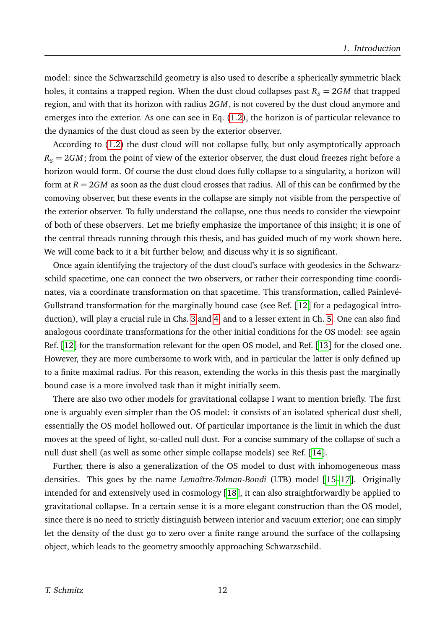model: since the Schwarzschild geometry is also used to describe a spherically symmetric black holes, it contains a trapped region. When the dust cloud collapses past  $R<sub>S</sub> = 2GM$  that trapped region, and with that its horizon with radius 2*GM*, is not covered by the dust cloud anymore and emerges into the exterior. As one can see in Eq. [\(1.2\)](#page-10-0), the horizon is of particular relevance to the dynamics of the dust cloud as seen by the exterior observer.

According to [\(1.2\)](#page-10-0) the dust cloud will not collapse fully, but only asymptotically approach  $R_s = 2GM$ ; from the point of view of the exterior observer, the dust cloud freezes right before a horizon would form. Of course the dust cloud does fully collapse to a singularity, a horizon will form at  $R = 2GM$  as soon as the dust cloud crosses that radius. All of this can be confirmed by the comoving observer, but these events in the collapse are simply not visible from the perspective of the exterior observer. To fully understand the collapse, one thus needs to consider the viewpoint of both of these observers. Let me briefly emphasize the importance of this insight; it is one of the central threads running through this thesis, and has guided much of my work shown here. We will come back to it a bit further below, and discuss why it is so significant.

Once again identifying the trajectory of the dust cloud's surface with geodesics in the Schwarzschild spacetime, one can connect the two observers, or rather their corresponding time coordinates, via a coordinate transformation on that spacetime. This transformation, called Painlevé-Gullstrand transformation for the marginally bound case (see Ref. [[12](#page-27-0)] for a pedagogical introduction), will play a crucial rule in Chs. [3](#page-31-0) and [4,](#page-32-0) and to a lesser extent in Ch. [5.](#page-34-0) One can also find analogous coordinate transformations for the other initial conditions for the OS model: see again Ref. [[12](#page-27-0)] for the transformation relevant for the open OS model, and Ref. [[13](#page-27-1)] for the closed one. However, they are more cumbersome to work with, and in particular the latter is only defined up to a finite maximal radius. For this reason, extending the works in this thesis past the marginally bound case is a more involved task than it might initially seem.

There are also two other models for gravitational collapse I want to mention briefly. The first one is arguably even simpler than the OS model: it consists of an isolated spherical dust shell, essentially the OS model hollowed out. Of particular importance is the limit in which the dust moves at the speed of light, so-called null dust. For a concise summary of the collapse of such a null dust shell (as well as some other simple collapse models) see Ref. [[14](#page-27-2)].

Further, there is also a generalization of the OS model to dust with inhomogeneous mass densities. This goes by the name *Lemaître-Tolman-Bondi* (LTB) model [[15](#page-27-3)[–17](#page-27-4)]. Originally intended for and extensively used in cosmology [[18](#page-27-5)], it can also straightforwardly be applied to gravitational collapse. In a certain sense it is a more elegant construction than the OS model, since there is no need to strictly distinguish between interior and vacuum exterior; one can simply let the density of the dust go to zero over a finite range around the surface of the collapsing object, which leads to the geometry smoothly approaching Schwarzschild.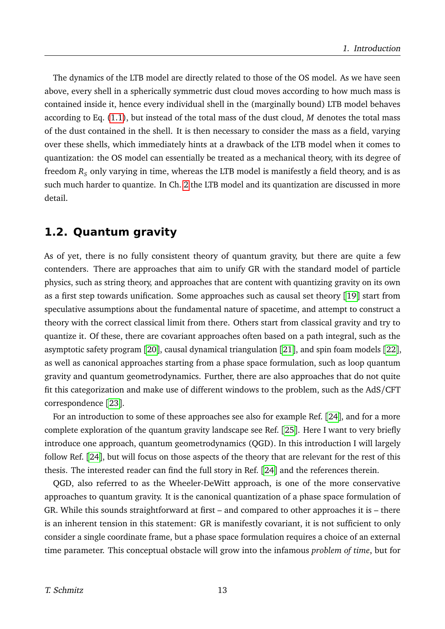The dynamics of the LTB model are directly related to those of the OS model. As we have seen above, every shell in a spherically symmetric dust cloud moves according to how much mass is contained inside it, hence every individual shell in the (marginally bound) LTB model behaves according to Eq. [\(1.1\)](#page-9-0), but instead of the total mass of the dust cloud, *M* denotes the total mass of the dust contained in the shell. It is then necessary to consider the mass as a field, varying over these shells, which immediately hints at a drawback of the LTB model when it comes to quantization: the OS model can essentially be treated as a mechanical theory, with its degree of freedom  $R<sub>S</sub>$  only varying in time, whereas the LTB model is manifestly a field theory, and is as such much harder to quantize. In Ch. [2](#page-30-0) the LTB model and its quantization are discussed in more detail.

## <span id="page-12-0"></span>**1.2. Quantum gravity**

As of yet, there is no fully consistent theory of quantum gravity, but there are quite a few contenders. There are approaches that aim to unify GR with the standard model of particle physics, such as string theory, and approaches that are content with quantizing gravity on its own as a first step towards unification. Some approaches such as causal set theory [[19](#page-27-6)] start from speculative assumptions about the fundamental nature of spacetime, and attempt to construct a theory with the correct classical limit from there. Others start from classical gravity and try to quantize it. Of these, there are covariant approaches often based on a path integral, such as the asymptotic safety program [[20](#page-27-7)], causal dynamical triangulation [[21](#page-27-8)], and spin foam models [[22](#page-27-9)], as well as canonical approaches starting from a phase space formulation, such as loop quantum gravity and quantum geometrodynamics. Further, there are also approaches that do not quite fit this categorization and make use of different windows to the problem, such as the AdS/CFT correspondence [[23](#page-27-10)].

For an introduction to some of these approaches see also for example Ref. [[24](#page-27-11)], and for a more complete exploration of the quantum gravity landscape see Ref. [[25](#page-27-12)]. Here I want to very briefly introduce one approach, quantum geometrodynamics (QGD). In this introduction I will largely follow Ref. [[24](#page-27-11)], but will focus on those aspects of the theory that are relevant for the rest of this thesis. The interested reader can find the full story in Ref. [[24](#page-27-11)] and the references therein.

QGD, also referred to as the Wheeler-DeWitt approach, is one of the more conservative approaches to quantum gravity. It is the canonical quantization of a phase space formulation of GR. While this sounds straightforward at first – and compared to other approaches it is – there is an inherent tension in this statement: GR is manifestly covariant, it is not sufficient to only consider a single coordinate frame, but a phase space formulation requires a choice of an external time parameter. This conceptual obstacle will grow into the infamous *problem of time*, but for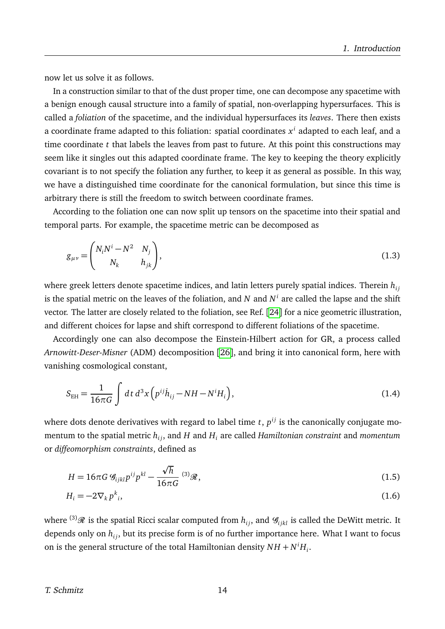now let us solve it as follows.

In a construction similar to that of the dust proper time, one can decompose any spacetime with a benign enough causal structure into a family of spatial, non-overlapping hypersurfaces. This is called a *foliation* of the spacetime, and the individual hypersurfaces its *leaves*. There then exists a coordinate frame adapted to this foliation: spatial coordinates *x i* adapted to each leaf, and a time coordinate *t* that labels the leaves from past to future. At this point this constructions may seem like it singles out this adapted coordinate frame. The key to keeping the theory explicitly covariant is to not specify the foliation any further, to keep it as general as possible. In this way, we have a distinguished time coordinate for the canonical formulation, but since this time is arbitrary there is still the freedom to switch between coordinate frames.

According to the foliation one can now split up tensors on the spacetime into their spatial and temporal parts. For example, the spacetime metric can be decomposed as

$$
g_{\mu\nu} = \begin{pmatrix} N_i N^i - N^2 & N_j \\ N_k & h_{jk} \end{pmatrix},
$$
\n(1.3)

where greek letters denote spacetime indices, and latin letters purely spatial indices. Therein  $h_{ij}$ is the spatial metric on the leaves of the foliation, and  $N$  and  $N^i$  are called the lapse and the shift vector. The latter are closely related to the foliation, see Ref. [[24](#page-27-11)] for a nice geometric illustration, and different choices for lapse and shift correspond to different foliations of the spacetime.

Accordingly one can also decompose the Einstein-Hilbert action for GR, a process called *Arnowitt-Deser-Misner* (ADM) decomposition [[26](#page-27-13)], and bring it into canonical form, here with vanishing cosmological constant,

$$
S_{\rm EH} = \frac{1}{16\pi G} \int dt \, d^3x \left( p^{ij} \dot{h}_{ij} - NH - N^i H_i \right), \tag{1.4}
$$

where dots denote derivatives with regard to label time  $t$  ,  $p^{ij}$  is the canonically conjugate momentum to the spatial metric  $h_{ij}$ , and  $H$  and  $H_i$  are called *Hamiltonian constraint* and *momentum* or *diffeomorphism constraints*, defined as

$$
H = 16\pi G \mathcal{G}_{ijkl} p^{ij} p^{kl} - \frac{\sqrt{h}}{16\pi G} \mathcal{G}_{ik} \mathcal{G}_{ik} \tag{1.5}
$$

$$
H_i = -2\nabla_k p^k_i,\tag{1.6}
$$

where <sup>(3)</sup> $\mathcal{R}$  is the spatial Ricci scalar computed from  $h_{ij}$ , and  $\mathcal{G}_{ijkl}$  is called the DeWitt metric. It depends only on  $h_{ij}$ , but its precise form is of no further importance here. What I want to focus on is the general structure of the total Hamiltonian density  $NH + N^iH_i$ .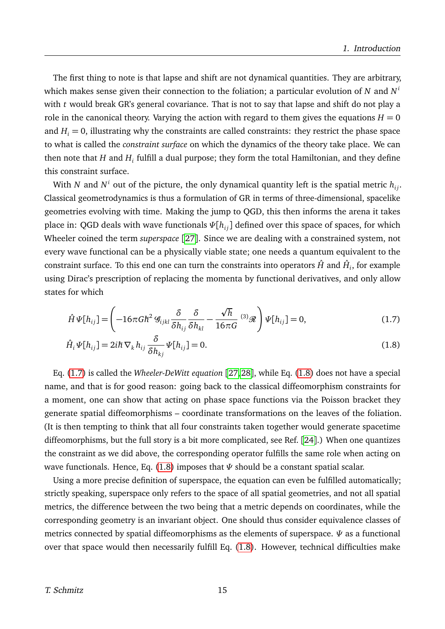The first thing to note is that lapse and shift are not dynamical quantities. They are arbitrary, which makes sense given their connection to the foliation; a particular evolution of *N* and *N i* with *t* would break GR's general covariance. That is not to say that lapse and shift do not play a role in the canonical theory. Varying the action with regard to them gives the equations  $H = 0$ and  $H_i = 0$ , illustrating why the constraints are called constraints: they restrict the phase space to what is called the *constraint surface* on which the dynamics of the theory take place. We can then note that  $H$  and  $H_i$  fulfill a dual purpose; they form the total Hamiltonian, and they define this constraint surface.

With  $N$  and  $N^i$  out of the picture, the only dynamical quantity left is the spatial metric  $h_{ij}.$ Classical geometrodynamics is thus a formulation of GR in terms of three-dimensional, spacelike geometries evolving with time. Making the jump to QGD, this then informs the arena it takes place in: QGD deals with wave functionals  $\Psi[h_{ij}]$  defined over this space of spaces, for which Wheeler coined the term *superspace* [[27](#page-27-14)]. Since we are dealing with a constrained system, not every wave functional can be a physically viable state; one needs a quantum equivalent to the constraint surface. To this end one can turn the constraints into operators  $\hat{H}$  and  $\hat{H}_i$ , for example using Dirac's prescription of replacing the momenta by functional derivatives, and only allow states for which

<span id="page-14-0"></span>
$$
\hat{H}\Psi[h_{ij}] = \left(-16\pi G\hbar^2 \mathcal{G}_{ijkl}\frac{\delta}{\delta h_{ij}}\frac{\delta}{\delta h_{kl}} - \frac{\sqrt{h}}{16\pi G}\,^{(3)}\mathcal{R}\right)\Psi[h_{ij}] = 0,\tag{1.7}
$$

<span id="page-14-1"></span>
$$
\hat{H}_i \Psi[h_{ij}] = 2i\hbar \nabla_k h_{ij} \frac{\delta}{\delta h_{kj}} \Psi[h_{ij}] = 0.
$$
\n(1.8)

Eq. [\(1.7\)](#page-14-0) is called the *Wheeler-DeWitt equation* [[27,](#page-27-14) [28](#page-27-15)], while Eq. [\(1.8\)](#page-14-1) does not have a special name, and that is for good reason: going back to the classical diffeomorphism constraints for a moment, one can show that acting on phase space functions via the Poisson bracket they generate spatial diffeomorphisms – coordinate transformations on the leaves of the foliation. (It is then tempting to think that all four constraints taken together would generate spacetime diffeomorphisms, but the full story is a bit more complicated, see Ref. [[24](#page-27-11)].) When one quantizes the constraint as we did above, the corresponding operator fulfills the same role when acting on wave functionals. Hence, Eq. [\(1.8\)](#page-14-1) imposes that *Ψ* should be a constant spatial scalar.

Using a more precise definition of superspace, the equation can even be fulfilled automatically; strictly speaking, superspace only refers to the space of all spatial geometries, and not all spatial metrics, the difference between the two being that a metric depends on coordinates, while the corresponding geometry is an invariant object. One should thus consider equivalence classes of metrics connected by spatial diffeomorphisms as the elements of superspace. *Ψ* as a functional over that space would then necessarily fulfill Eq. [\(1.8\)](#page-14-1). However, technical difficulties make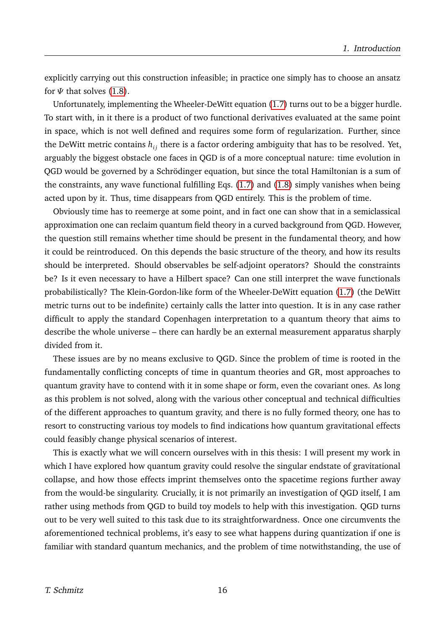explicitly carrying out this construction infeasible; in practice one simply has to choose an ansatz for  $\Psi$  that solves [\(1.8\)](#page-14-1).

Unfortunately, implementing the Wheeler-DeWitt equation [\(1.7\)](#page-14-0) turns out to be a bigger hurdle. To start with, in it there is a product of two functional derivatives evaluated at the same point in space, which is not well defined and requires some form of regularization. Further, since the DeWitt metric contains  $h_{ij}$  there is a factor ordering ambiguity that has to be resolved. Yet, arguably the biggest obstacle one faces in QGD is of a more conceptual nature: time evolution in QGD would be governed by a Schrödinger equation, but since the total Hamiltonian is a sum of the constraints, any wave functional fulfilling Eqs. [\(1.7\)](#page-14-0) and [\(1.8\)](#page-14-1) simply vanishes when being acted upon by it. Thus, time disappears from QGD entirely. This is the problem of time.

Obviously time has to reemerge at some point, and in fact one can show that in a semiclassical approximation one can reclaim quantum field theory in a curved background from QGD. However, the question still remains whether time should be present in the fundamental theory, and how it could be reintroduced. On this depends the basic structure of the theory, and how its results should be interpreted. Should observables be self-adjoint operators? Should the constraints be? Is it even necessary to have a Hilbert space? Can one still interpret the wave functionals probabilistically? The Klein-Gordon-like form of the Wheeler-DeWitt equation [\(1.7\)](#page-14-0) (the DeWitt metric turns out to be indefinite) certainly calls the latter into question. It is in any case rather difficult to apply the standard Copenhagen interpretation to a quantum theory that aims to describe the whole universe – there can hardly be an external measurement apparatus sharply divided from it.

These issues are by no means exclusive to QGD. Since the problem of time is rooted in the fundamentally conflicting concepts of time in quantum theories and GR, most approaches to quantum gravity have to contend with it in some shape or form, even the covariant ones. As long as this problem is not solved, along with the various other conceptual and technical difficulties of the different approaches to quantum gravity, and there is no fully formed theory, one has to resort to constructing various toy models to find indications how quantum gravitational effects could feasibly change physical scenarios of interest.

This is exactly what we will concern ourselves with in this thesis: I will present my work in which I have explored how quantum gravity could resolve the singular endstate of gravitational collapse, and how those effects imprint themselves onto the spacetime regions further away from the would-be singularity. Crucially, it is not primarily an investigation of QGD itself, I am rather using methods from QGD to build toy models to help with this investigation. QGD turns out to be very well suited to this task due to its straightforwardness. Once one circumvents the aforementioned technical problems, it's easy to see what happens during quantization if one is familiar with standard quantum mechanics, and the problem of time notwithstanding, the use of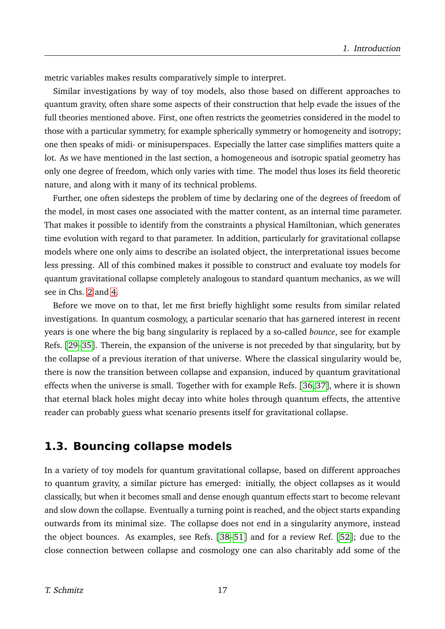metric variables makes results comparatively simple to interpret.

Similar investigations by way of toy models, also those based on different approaches to quantum gravity, often share some aspects of their construction that help evade the issues of the full theories mentioned above. First, one often restricts the geometries considered in the model to those with a particular symmetry, for example spherically symmetry or homogeneity and isotropy; one then speaks of midi- or minisuperspaces. Especially the latter case simplifies matters quite a lot. As we have mentioned in the last section, a homogeneous and isotropic spatial geometry has only one degree of freedom, which only varies with time. The model thus loses its field theoretic nature, and along with it many of its technical problems.

Further, one often sidesteps the problem of time by declaring one of the degrees of freedom of the model, in most cases one associated with the matter content, as an internal time parameter. That makes it possible to identify from the constraints a physical Hamiltonian, which generates time evolution with regard to that parameter. In addition, particularly for gravitational collapse models where one only aims to describe an isolated object, the interpretational issues become less pressing. All of this combined makes it possible to construct and evaluate toy models for quantum gravitational collapse completely analogous to standard quantum mechanics, as we will see in Chs. [2](#page-30-0) and [4.](#page-32-0)

Before we move on to that, let me first briefly highlight some results from similar related investigations. In quantum cosmology, a particular scenario that has garnered interest in recent years is one where the big bang singularity is replaced by a so-called *bounce*, see for example Refs. [[29–](#page-27-16)[35](#page-27-17)]. Therein, the expansion of the universe is not preceded by that singularity, but by the collapse of a previous iteration of that universe. Where the classical singularity would be, there is now the transition between collapse and expansion, induced by quantum gravitational effects when the universe is small. Together with for example Refs. [[36,](#page-27-18) [37](#page-27-19)], where it is shown that eternal black holes might decay into white holes through quantum effects, the attentive reader can probably guess what scenario presents itself for gravitational collapse.

## <span id="page-16-0"></span>**1.3. Bouncing collapse models**

In a variety of toy models for quantum gravitational collapse, based on different approaches to quantum gravity, a similar picture has emerged: initially, the object collapses as it would classically, but when it becomes small and dense enough quantum effects start to become relevant and slow down the collapse. Eventually a turning point is reached, and the object starts expanding outwards from its minimal size. The collapse does not end in a singularity anymore, instead the object bounces. As examples, see Refs. [[38](#page-27-20)[–51](#page-28-0)] and for a review Ref. [[52](#page-28-1)]; due to the close connection between collapse and cosmology one can also charitably add some of the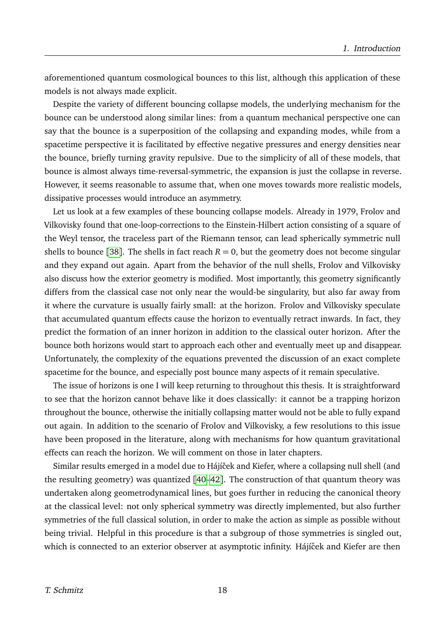aforementioned quantum cosmological bounces to this list, although this application of these models is not always made explicit.

Despite the variety of different bouncing collapse models, the underlying mechanism for the bounce can be understood along similar lines: from a quantum mechanical perspective one can say that the bounce is a superposition of the collapsing and expanding modes, while from a spacetime perspective it is facilitated by effective negative pressures and energy densities near the bounce, briefly turning gravity repulsive. Due to the simplicity of all of these models, that bounce is almost always time-reversal-symmetric, the expansion is just the collapse in reverse. However, it seems reasonable to assume that, when one moves towards more realistic models, dissipative processes would introduce an asymmetry.

Let us look at a few examples of these bouncing collapse models. Already in 1979, Frolov and Vilkovisky found that one-loop-corrections to the Einstein-Hilbert action consisting of a square of the Weyl tensor, the traceless part of the Riemann tensor, can lead spherically symmetric null shells to bounce [[38](#page-27-20)]. The shells in fact reach  $R = 0$ , but the geometry does not become singular and they expand out again. Apart from the behavior of the null shells, Frolov and Vilkovisky also discuss how the exterior geometry is modified. Most importantly, this geometry significantly differs from the classical case not only near the would-be singularity, but also far away from it where the curvature is usually fairly small: at the horizon. Frolov and Vilkovisky speculate that accumulated quantum effects cause the horizon to eventually retract inwards. In fact, they predict the formation of an inner horizon in addition to the classical outer horizon. After the bounce both horizons would start to approach each other and eventually meet up and disappear. Unfortunately, the complexity of the equations prevented the discussion of an exact complete spacetime for the bounce, and especially post bounce many aspects of it remain speculative.

The issue of horizons is one I will keep returning to throughout this thesis. It is straightforward to see that the horizon cannot behave like it does classically: it cannot be a trapping horizon throughout the bounce, otherwise the initially collapsing matter would not be able to fully expand out again. In addition to the scenario of Frolov and Vilkovisky, a few resolutions to this issue have been proposed in the literature, along with mechanisms for how quantum gravitational effects can reach the horizon. We will comment on those in later chapters.

Similar results emerged in a model due to Hájíček and Kiefer, where a collapsing null shell (and the resulting geometry) was quantized  $[40-42]$  $[40-42]$  $[40-42]$ . The construction of that quantum theory was undertaken along geometrodynamical lines, but goes further in reducing the canonical theory at the classical level: not only spherical symmetry was directly implemented, but also further symmetries of the full classical solution, in order to make the action as simple as possible without being trivial. Helpful in this procedure is that a subgroup of those symmetries is singled out, which is connected to an exterior observer at asymptotic infinity. Hájíček and Kiefer are then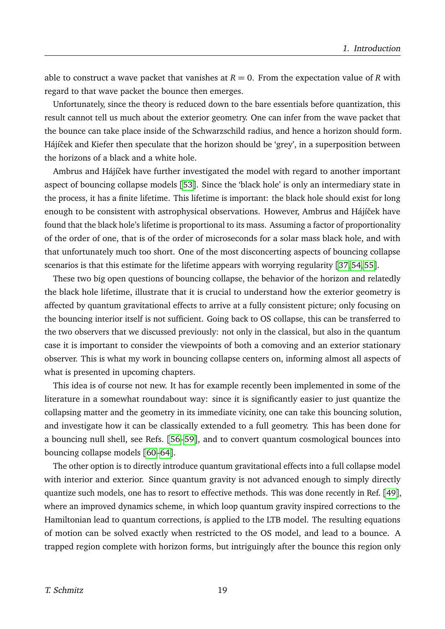able to construct a wave packet that vanishes at  $R = 0$ . From the expectation value of R with regard to that wave packet the bounce then emerges.

Unfortunately, since the theory is reduced down to the bare essentials before quantization, this result cannot tell us much about the exterior geometry. One can infer from the wave packet that the bounce can take place inside of the Schwarzschild radius, and hence a horizon should form. Hájíček and Kiefer then speculate that the horizon should be 'grey', in a superposition between the horizons of a black and a white hole.

Ambrus and Hájíček have further investigated the model with regard to another important aspect of bouncing collapse models [[53](#page-28-3)]. Since the 'black hole' is only an intermediary state in the process, it has a finite lifetime. This lifetime is important: the black hole should exist for long enough to be consistent with astrophysical observations. However, Ambrus and Hájíček have found that the black hole's lifetime is proportional to its mass. Assuming a factor of proportionality of the order of one, that is of the order of microseconds for a solar mass black hole, and with that unfortunately much too short. One of the most disconcerting aspects of bouncing collapse scenarios is that this estimate for the lifetime appears with worrying regularity [[37,](#page-27-19) [54,](#page-28-4) [55](#page-28-5)].

These two big open questions of bouncing collapse, the behavior of the horizon and relatedly the black hole lifetime, illustrate that it is crucial to understand how the exterior geometry is affected by quantum gravitational effects to arrive at a fully consistent picture; only focusing on the bouncing interior itself is not sufficient. Going back to OS collapse, this can be transferred to the two observers that we discussed previously: not only in the classical, but also in the quantum case it is important to consider the viewpoints of both a comoving and an exterior stationary observer. This is what my work in bouncing collapse centers on, informing almost all aspects of what is presented in upcoming chapters.

This idea is of course not new. It has for example recently been implemented in some of the literature in a somewhat roundabout way: since it is significantly easier to just quantize the collapsing matter and the geometry in its immediate vicinity, one can take this bouncing solution, and investigate how it can be classically extended to a full geometry. This has been done for a bouncing null shell, see Refs. [[56–](#page-28-6)[59](#page-28-7)], and to convert quantum cosmological bounces into bouncing collapse models [[60–](#page-28-8)[64](#page-28-9)].

The other option is to directly introduce quantum gravitational effects into a full collapse model with interior and exterior. Since quantum gravity is not advanced enough to simply directly quantize such models, one has to resort to effective methods. This was done recently in Ref. [[49](#page-28-10)], where an improved dynamics scheme, in which loop quantum gravity inspired corrections to the Hamiltonian lead to quantum corrections, is applied to the LTB model. The resulting equations of motion can be solved exactly when restricted to the OS model, and lead to a bounce. A trapped region complete with horizon forms, but intriguingly after the bounce this region only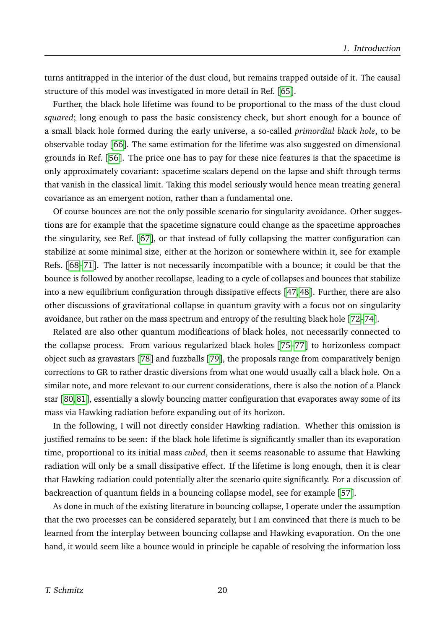turns antitrapped in the interior of the dust cloud, but remains trapped outside of it. The causal structure of this model was investigated in more detail in Ref. [[65](#page-28-11)].

Further, the black hole lifetime was found to be proportional to the mass of the dust cloud *squared*; long enough to pass the basic consistency check, but short enough for a bounce of a small black hole formed during the early universe, a so-called *primordial black hole*, to be observable today [[66](#page-28-12)]. The same estimation for the lifetime was also suggested on dimensional grounds in Ref. [[56](#page-28-6)]. The price one has to pay for these nice features is that the spacetime is only approximately covariant: spacetime scalars depend on the lapse and shift through terms that vanish in the classical limit. Taking this model seriously would hence mean treating general covariance as an emergent notion, rather than a fundamental one.

Of course bounces are not the only possible scenario for singularity avoidance. Other suggestions are for example that the spacetime signature could change as the spacetime approaches the singularity, see Ref. [[67](#page-28-13)], or that instead of fully collapsing the matter configuration can stabilize at some minimal size, either at the horizon or somewhere within it, see for example Refs. [[68](#page-28-14)[–71](#page-29-0)]. The latter is not necessarily incompatible with a bounce; it could be that the bounce is followed by another recollapse, leading to a cycle of collapses and bounces that stabilize into a new equilibrium configuration through dissipative effects [[47,](#page-28-15) [48](#page-28-16)]. Further, there are also other discussions of gravitational collapse in quantum gravity with a focus not on singularity avoidance, but rather on the mass spectrum and entropy of the resulting black hole [[72–](#page-29-1)[74](#page-29-2)].

Related are also other quantum modifications of black holes, not necessarily connected to the collapse process. From various regularized black holes [[75](#page-29-3)[–77](#page-29-4)] to horizonless compact object such as gravastars [[78](#page-29-5)] and fuzzballs [[79](#page-29-6)], the proposals range from comparatively benign corrections to GR to rather drastic diversions from what one would usually call a black hole. On a similar note, and more relevant to our current considerations, there is also the notion of a Planck star [[80,](#page-29-7) [81](#page-29-8)], essentially a slowly bouncing matter configuration that evaporates away some of its mass via Hawking radiation before expanding out of its horizon.

In the following, I will not directly consider Hawking radiation. Whether this omission is justified remains to be seen: if the black hole lifetime is significantly smaller than its evaporation time, proportional to its initial mass *cubed*, then it seems reasonable to assume that Hawking radiation will only be a small dissipative effect. If the lifetime is long enough, then it is clear that Hawking radiation could potentially alter the scenario quite significantly. For a discussion of backreaction of quantum fields in a bouncing collapse model, see for example [[57](#page-28-17)].

As done in much of the existing literature in bouncing collapse, I operate under the assumption that the two processes can be considered separately, but I am convinced that there is much to be learned from the interplay between bouncing collapse and Hawking evaporation. On the one hand, it would seem like a bounce would in principle be capable of resolving the information loss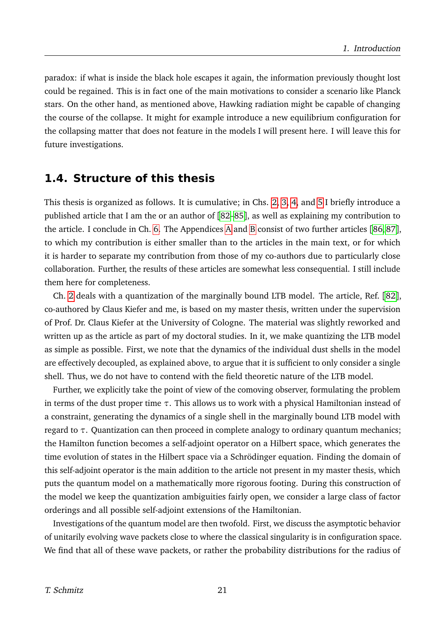paradox: if what is inside the black hole escapes it again, the information previously thought lost could be regained. This is in fact one of the main motivations to consider a scenario like Planck stars. On the other hand, as mentioned above, Hawking radiation might be capable of changing the course of the collapse. It might for example introduce a new equilibrium configuration for the collapsing matter that does not feature in the models I will present here. I will leave this for future investigations.

### <span id="page-20-0"></span>**1.4. Structure of this thesis**

This thesis is organized as follows. It is cumulative; in Chs. [2,](#page-30-0) [3,](#page-31-0) [4,](#page-32-0) and [5](#page-34-0) I briefly introduce a published article that I am the or an author of [[82–](#page-29-9)[85](#page-29-10)], as well as explaining my contribution to the article. I conclude in Ch. [6.](#page-35-0) The Appendices [A](#page-41-0) and [B](#page-42-0) consist of two further articles [[86,](#page-29-11) [87](#page-29-12)], to which my contribution is either smaller than to the articles in the main text, or for which it is harder to separate my contribution from those of my co-authors due to particularly close collaboration. Further, the results of these articles are somewhat less consequential. I still include them here for completeness.

Ch. [2](#page-30-0) deals with a quantization of the marginally bound LTB model. The article, Ref. [[82](#page-29-9)], co-authored by Claus Kiefer and me, is based on my master thesis, written under the supervision of Prof. Dr. Claus Kiefer at the University of Cologne. The material was slightly reworked and written up as the article as part of my doctoral studies. In it, we make quantizing the LTB model as simple as possible. First, we note that the dynamics of the individual dust shells in the model are effectively decoupled, as explained above, to argue that it is sufficient to only consider a single shell. Thus, we do not have to contend with the field theoretic nature of the LTB model.

Further, we explicitly take the point of view of the comoving observer, formulating the problem in terms of the dust proper time *τ*. This allows us to work with a physical Hamiltonian instead of a constraint, generating the dynamics of a single shell in the marginally bound LTB model with regard to *τ*. Quantization can then proceed in complete analogy to ordinary quantum mechanics; the Hamilton function becomes a self-adjoint operator on a Hilbert space, which generates the time evolution of states in the Hilbert space via a Schrödinger equation. Finding the domain of this self-adjoint operator is the main addition to the article not present in my master thesis, which puts the quantum model on a mathematically more rigorous footing. During this construction of the model we keep the quantization ambiguities fairly open, we consider a large class of factor orderings and all possible self-adjoint extensions of the Hamiltonian.

Investigations of the quantum model are then twofold. First, we discuss the asymptotic behavior of unitarily evolving wave packets close to where the classical singularity is in configuration space. We find that all of these wave packets, or rather the probability distributions for the radius of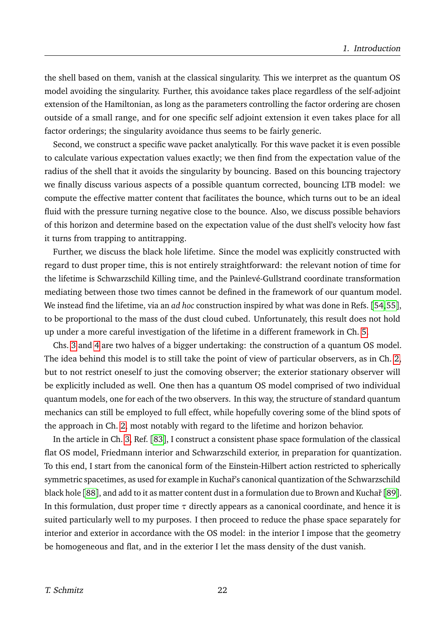the shell based on them, vanish at the classical singularity. This we interpret as the quantum OS model avoiding the singularity. Further, this avoidance takes place regardless of the self-adjoint extension of the Hamiltonian, as long as the parameters controlling the factor ordering are chosen outside of a small range, and for one specific self adjoint extension it even takes place for all factor orderings; the singularity avoidance thus seems to be fairly generic.

Second, we construct a specific wave packet analytically. For this wave packet it is even possible to calculate various expectation values exactly; we then find from the expectation value of the radius of the shell that it avoids the singularity by bouncing. Based on this bouncing trajectory we finally discuss various aspects of a possible quantum corrected, bouncing LTB model: we compute the effective matter content that facilitates the bounce, which turns out to be an ideal fluid with the pressure turning negative close to the bounce. Also, we discuss possible behaviors of this horizon and determine based on the expectation value of the dust shell's velocity how fast it turns from trapping to antitrapping.

Further, we discuss the black hole lifetime. Since the model was explicitly constructed with regard to dust proper time, this is not entirely straightforward: the relevant notion of time for the lifetime is Schwarzschild Killing time, and the Painlevé-Gullstrand coordinate transformation mediating between those two times cannot be defined in the framework of our quantum model. We instead find the lifetime, via an *ad hoc* construction inspired by what was done in Refs. [[54,](#page-28-4)[55](#page-28-5)], to be proportional to the mass of the dust cloud cubed. Unfortunately, this result does not hold up under a more careful investigation of the lifetime in a different framework in Ch. [5.](#page-34-0)

Chs. [3](#page-31-0) and [4](#page-32-0) are two halves of a bigger undertaking: the construction of a quantum OS model. The idea behind this model is to still take the point of view of particular observers, as in Ch. [2,](#page-30-0) but to not restrict oneself to just the comoving observer; the exterior stationary observer will be explicitly included as well. One then has a quantum OS model comprised of two individual quantum models, one for each of the two observers. In this way, the structure of standard quantum mechanics can still be employed to full effect, while hopefully covering some of the blind spots of the approach in Ch. [2,](#page-30-0) most notably with regard to the lifetime and horizon behavior.

In the article in Ch. [3,](#page-31-0) Ref. [[83](#page-29-13)], I construct a consistent phase space formulation of the classical flat OS model, Friedmann interior and Schwarzschild exterior, in preparation for quantization. To this end, I start from the canonical form of the Einstein-Hilbert action restricted to spherically symmetric spacetimes, as used for example in Kuchař's canonical quantization of the Schwarzschild black hole [[88](#page-29-14)], and add to it as matter content dust in a formulation due to Brown and Kuchař [[89](#page-29-15)]. In this formulation, dust proper time *τ* directly appears as a canonical coordinate, and hence it is suited particularly well to my purposes. I then proceed to reduce the phase space separately for interior and exterior in accordance with the OS model: in the interior I impose that the geometry be homogeneous and flat, and in the exterior I let the mass density of the dust vanish.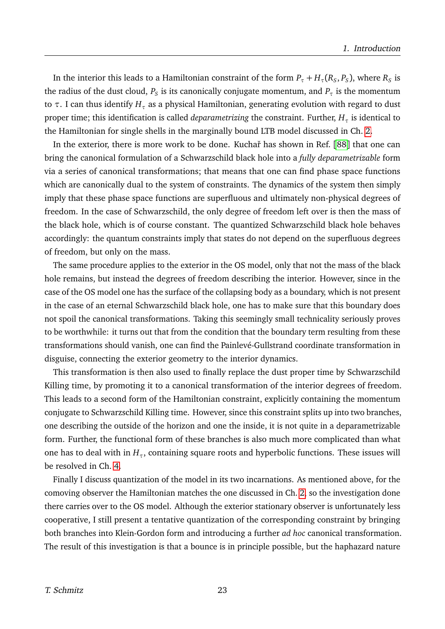In the interior this leads to a Hamiltonian constraint of the form  $P_\tau+H_\tau(R_S,P_S)$ , where  $R_S$  is the radius of the dust cloud,  $P_S$  is its canonically conjugate momentum, and  $P_\tau$  is the momentum to *τ*. I can thus identify *H<sup>τ</sup>* as a physical Hamiltonian, generating evolution with regard to dust proper time; this identification is called *deparametrizing* the constraint. Further, *H<sup>τ</sup>* is identical to the Hamiltonian for single shells in the marginally bound LTB model discussed in Ch. [2.](#page-30-0)

In the exterior, there is more work to be done. Kuchař has shown in Ref. [[88](#page-29-14)] that one can bring the canonical formulation of a Schwarzschild black hole into a *fully deparametrizable* form via a series of canonical transformations; that means that one can find phase space functions which are canonically dual to the system of constraints. The dynamics of the system then simply imply that these phase space functions are superfluous and ultimately non-physical degrees of freedom. In the case of Schwarzschild, the only degree of freedom left over is then the mass of the black hole, which is of course constant. The quantized Schwarzschild black hole behaves accordingly: the quantum constraints imply that states do not depend on the superfluous degrees of freedom, but only on the mass.

The same procedure applies to the exterior in the OS model, only that not the mass of the black hole remains, but instead the degrees of freedom describing the interior. However, since in the case of the OS model one has the surface of the collapsing body as a boundary, which is not present in the case of an eternal Schwarzschild black hole, one has to make sure that this boundary does not spoil the canonical transformations. Taking this seemingly small technicality seriously proves to be worthwhile: it turns out that from the condition that the boundary term resulting from these transformations should vanish, one can find the Painlevé-Gullstrand coordinate transformation in disguise, connecting the exterior geometry to the interior dynamics.

This transformation is then also used to finally replace the dust proper time by Schwarzschild Killing time, by promoting it to a canonical transformation of the interior degrees of freedom. This leads to a second form of the Hamiltonian constraint, explicitly containing the momentum conjugate to Schwarzschild Killing time. However, since this constraint splits up into two branches, one describing the outside of the horizon and one the inside, it is not quite in a deparametrizable form. Further, the functional form of these branches is also much more complicated than what one has to deal with in  $H_\tau$ , containing square roots and hyperbolic functions. These issues will be resolved in Ch. [4.](#page-32-0)

Finally I discuss quantization of the model in its two incarnations. As mentioned above, for the comoving observer the Hamiltonian matches the one discussed in Ch. [2,](#page-30-0) so the investigation done there carries over to the OS model. Although the exterior stationary observer is unfortunately less cooperative, I still present a tentative quantization of the corresponding constraint by bringing both branches into Klein-Gordon form and introducing a further *ad hoc* canonical transformation. The result of this investigation is that a bounce is in principle possible, but the haphazard nature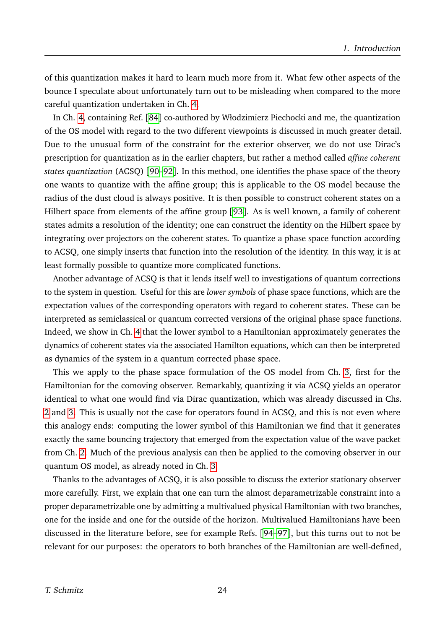of this quantization makes it hard to learn much more from it. What few other aspects of the bounce I speculate about unfortunately turn out to be misleading when compared to the more careful quantization undertaken in Ch. [4.](#page-32-0)

In Ch. [4,](#page-32-0) containing Ref. [[84](#page-29-16)] co-authored by Włodzimierz Piechocki and me, the quantization of the OS model with regard to the two different viewpoints is discussed in much greater detail. Due to the unusual form of the constraint for the exterior observer, we do not use Dirac's prescription for quantization as in the earlier chapters, but rather a method called *affine coherent states quantization* (ACSQ) [[90–](#page-29-17)[92](#page-29-18)]. In this method, one identifies the phase space of the theory one wants to quantize with the affine group; this is applicable to the OS model because the radius of the dust cloud is always positive. It is then possible to construct coherent states on a Hilbert space from elements of the affine group [[93](#page-29-19)]. As is well known, a family of coherent states admits a resolution of the identity; one can construct the identity on the Hilbert space by integrating over projectors on the coherent states. To quantize a phase space function according to ACSQ, one simply inserts that function into the resolution of the identity. In this way, it is at least formally possible to quantize more complicated functions.

Another advantage of ACSQ is that it lends itself well to investigations of quantum corrections to the system in question. Useful for this are *lower symbols* of phase space functions, which are the expectation values of the corresponding operators with regard to coherent states. These can be interpreted as semiclassical or quantum corrected versions of the original phase space functions. Indeed, we show in Ch. [4](#page-32-0) that the lower symbol to a Hamiltonian approximately generates the dynamics of coherent states via the associated Hamilton equations, which can then be interpreted as dynamics of the system in a quantum corrected phase space.

This we apply to the phase space formulation of the OS model from Ch. [3,](#page-31-0) first for the Hamiltonian for the comoving observer. Remarkably, quantizing it via ACSQ yields an operator identical to what one would find via Dirac quantization, which was already discussed in Chs. [2](#page-30-0) and [3.](#page-31-0) This is usually not the case for operators found in ACSQ, and this is not even where this analogy ends: computing the lower symbol of this Hamiltonian we find that it generates exactly the same bouncing trajectory that emerged from the expectation value of the wave packet from Ch. [2.](#page-30-0) Much of the previous analysis can then be applied to the comoving observer in our quantum OS model, as already noted in Ch. [3.](#page-31-0)

Thanks to the advantages of ACSQ, it is also possible to discuss the exterior stationary observer more carefully. First, we explain that one can turn the almost deparametrizable constraint into a proper deparametrizable one by admitting a multivalued physical Hamiltonian with two branches, one for the inside and one for the outside of the horizon. Multivalued Hamiltonians have been discussed in the literature before, see for example Refs. [[94](#page-29-20)[–97](#page-29-21)], but this turns out to not be relevant for our purposes: the operators to both branches of the Hamiltonian are well-defined,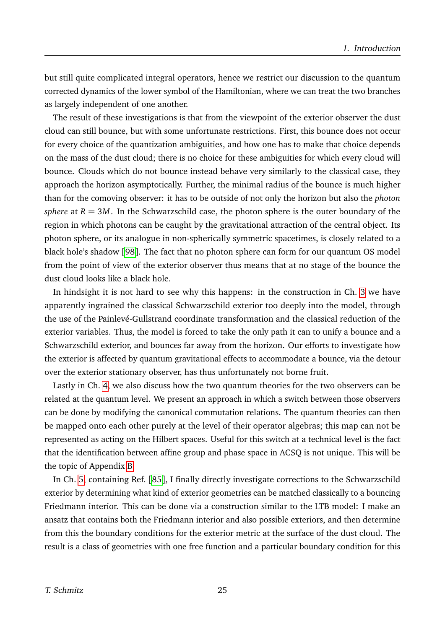but still quite complicated integral operators, hence we restrict our discussion to the quantum corrected dynamics of the lower symbol of the Hamiltonian, where we can treat the two branches as largely independent of one another.

The result of these investigations is that from the viewpoint of the exterior observer the dust cloud can still bounce, but with some unfortunate restrictions. First, this bounce does not occur for every choice of the quantization ambiguities, and how one has to make that choice depends on the mass of the dust cloud; there is no choice for these ambiguities for which every cloud will bounce. Clouds which do not bounce instead behave very similarly to the classical case, they approach the horizon asymptotically. Further, the minimal radius of the bounce is much higher than for the comoving observer: it has to be outside of not only the horizon but also the *photon sphere* at  $R = 3M$ . In the Schwarzschild case, the photon sphere is the outer boundary of the region in which photons can be caught by the gravitational attraction of the central object. Its photon sphere, or its analogue in non-spherically symmetric spacetimes, is closely related to a black hole's shadow [[98](#page-29-22)]. The fact that no photon sphere can form for our quantum OS model from the point of view of the exterior observer thus means that at no stage of the bounce the dust cloud looks like a black hole.

In hindsight it is not hard to see why this happens: in the construction in Ch. [3](#page-31-0) we have apparently ingrained the classical Schwarzschild exterior too deeply into the model, through the use of the Painlevé-Gullstrand coordinate transformation and the classical reduction of the exterior variables. Thus, the model is forced to take the only path it can to unify a bounce and a Schwarzschild exterior, and bounces far away from the horizon. Our efforts to investigate how the exterior is affected by quantum gravitational effects to accommodate a bounce, via the detour over the exterior stationary observer, has thus unfortunately not borne fruit.

Lastly in Ch. [4,](#page-32-0) we also discuss how the two quantum theories for the two observers can be related at the quantum level. We present an approach in which a switch between those observers can be done by modifying the canonical commutation relations. The quantum theories can then be mapped onto each other purely at the level of their operator algebras; this map can not be represented as acting on the Hilbert spaces. Useful for this switch at a technical level is the fact that the identification between affine group and phase space in ACSQ is not unique. This will be the topic of Appendix [B.](#page-42-0)

In Ch. [5,](#page-34-0) containing Ref. [[85](#page-29-10)], I finally directly investigate corrections to the Schwarzschild exterior by determining what kind of exterior geometries can be matched classically to a bouncing Friedmann interior. This can be done via a construction similar to the LTB model: I make an ansatz that contains both the Friedmann interior and also possible exteriors, and then determine from this the boundary conditions for the exterior metric at the surface of the dust cloud. The result is a class of geometries with one free function and a particular boundary condition for this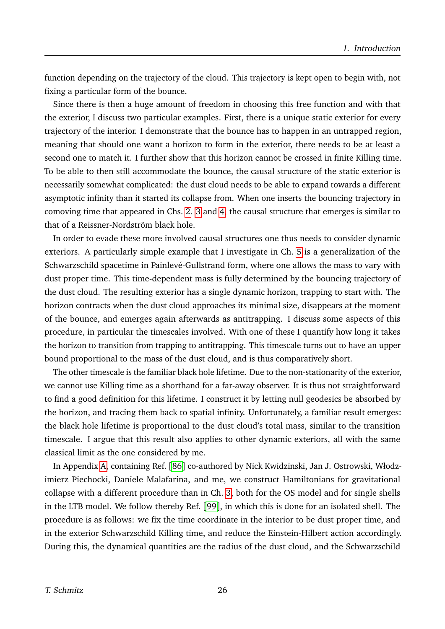function depending on the trajectory of the cloud. This trajectory is kept open to begin with, not fixing a particular form of the bounce.

Since there is then a huge amount of freedom in choosing this free function and with that the exterior, I discuss two particular examples. First, there is a unique static exterior for every trajectory of the interior. I demonstrate that the bounce has to happen in an untrapped region, meaning that should one want a horizon to form in the exterior, there needs to be at least a second one to match it. I further show that this horizon cannot be crossed in finite Killing time. To be able to then still accommodate the bounce, the causal structure of the static exterior is necessarily somewhat complicated: the dust cloud needs to be able to expand towards a different asymptotic infinity than it started its collapse from. When one inserts the bouncing trajectory in comoving time that appeared in Chs. [2.](#page-30-0) [3](#page-31-0) and [4,](#page-32-0) the causal structure that emerges is similar to that of a Reissner-Nordström black hole.

In order to evade these more involved causal structures one thus needs to consider dynamic exteriors. A particularly simple example that I investigate in Ch. [5](#page-34-0) is a generalization of the Schwarzschild spacetime in Painlevé-Gullstrand form, where one allows the mass to vary with dust proper time. This time-dependent mass is fully determined by the bouncing trajectory of the dust cloud. The resulting exterior has a single dynamic horizon, trapping to start with. The horizon contracts when the dust cloud approaches its minimal size, disappears at the moment of the bounce, and emerges again afterwards as antitrapping. I discuss some aspects of this procedure, in particular the timescales involved. With one of these I quantify how long it takes the horizon to transition from trapping to antitrapping. This timescale turns out to have an upper bound proportional to the mass of the dust cloud, and is thus comparatively short.

The other timescale is the familiar black hole lifetime. Due to the non-stationarity of the exterior, we cannot use Killing time as a shorthand for a far-away observer. It is thus not straightforward to find a good definition for this lifetime. I construct it by letting null geodesics be absorbed by the horizon, and tracing them back to spatial infinity. Unfortunately, a familiar result emerges: the black hole lifetime is proportional to the dust cloud's total mass, similar to the transition timescale. I argue that this result also applies to other dynamic exteriors, all with the same classical limit as the one considered by me.

In Appendix [A,](#page-41-0) containing Ref. [[86](#page-29-11)] co-authored by Nick Kwidzinski, Jan J. Ostrowski, Włodzimierz Piechocki, Daniele Malafarina, and me, we construct Hamiltonians for gravitational collapse with a different procedure than in Ch. [3,](#page-31-0) both for the OS model and for single shells in the LTB model. We follow thereby Ref. [[99](#page-29-23)], in which this is done for an isolated shell. The procedure is as follows: we fix the time coordinate in the interior to be dust proper time, and in the exterior Schwarzschild Killing time, and reduce the Einstein-Hilbert action accordingly. During this, the dynamical quantities are the radius of the dust cloud, and the Schwarzschild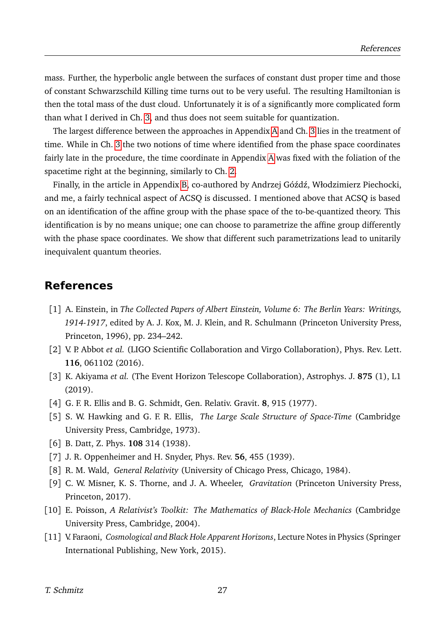mass. Further, the hyperbolic angle between the surfaces of constant dust proper time and those of constant Schwarzschild Killing time turns out to be very useful. The resulting Hamiltonian is then the total mass of the dust cloud. Unfortunately it is of a significantly more complicated form than what I derived in Ch. [3,](#page-31-0) and thus does not seem suitable for quantization.

The largest difference between the approaches in Appendix [A](#page-41-0) and Ch. [3](#page-31-0) lies in the treatment of time. While in Ch. [3](#page-31-0) the two notions of time where identified from the phase space coordinates fairly late in the procedure, the time coordinate in Appendix [A](#page-41-0) was fixed with the foliation of the spacetime right at the beginning, similarly to Ch. [2.](#page-30-0)

Finally, in the article in Appendix [B,](#page-42-0) co-authored by Andrzej Góźdź, Włodzimierz Piechocki, and me, a fairly technical aspect of ACSQ is discussed. I mentioned above that ACSQ is based on an identification of the affine group with the phase space of the to-be-quantized theory. This identification is by no means unique; one can choose to parametrize the affine group differently with the phase space coordinates. We show that different such parametrizations lead to unitarily inequivalent quantum theories.

### **References**

- <span id="page-26-0"></span>[1] A. Einstein, in *The Collected Papers of Albert Einstein, Volume 6: The Berlin Years: Writings, 1914-1917*, edited by A. J. Kox, M. J. Klein, and R. Schulmann (Princeton University Press, Princeton, 1996), pp. 234–242.
- <span id="page-26-1"></span>[2] V. P. Abbot *et al.* (LIGO Scientific Collaboration and Virgo Collaboration), Phys. Rev. Lett. **116**, 061102 (2016).
- <span id="page-26-2"></span>[3] K. Akiyama *et al.* (The Event Horizon Telescope Collaboration), Astrophys. J. **875** (1), L1 (2019).
- <span id="page-26-3"></span>[4] G. F. R. Ellis and B. G. Schmidt, Gen. Relativ. Gravit. **8**, 915 (1977).
- <span id="page-26-4"></span>[5] S. W. Hawking and G. F. R. Ellis, *The Large Scale Structure of Space-Time* (Cambridge University Press, Cambridge, 1973).
- <span id="page-26-5"></span>[6] B. Datt, Z. Phys. **108** 314 (1938).
- <span id="page-26-6"></span>[7] J. R. Oppenheimer and H. Snyder, Phys. Rev. **56**, 455 (1939).
- <span id="page-26-7"></span>[8] R. M. Wald, *General Relativity* (University of Chicago Press, Chicago, 1984).
- <span id="page-26-8"></span>[9] C. W. Misner, K. S. Thorne, and J. A. Wheeler, *Gravitation* (Princeton University Press, Princeton, 2017).
- <span id="page-26-9"></span>[10] E. Poisson, *A Relativist's Toolkit: The Mathematics of Black-Hole Mechanics* (Cambridge University Press, Cambridge, 2004).
- <span id="page-26-10"></span>[11] V. Faraoni, *Cosmological and Black Hole Apparent Horizons*, Lecture Notes in Physics (Springer International Publishing, New York, 2015).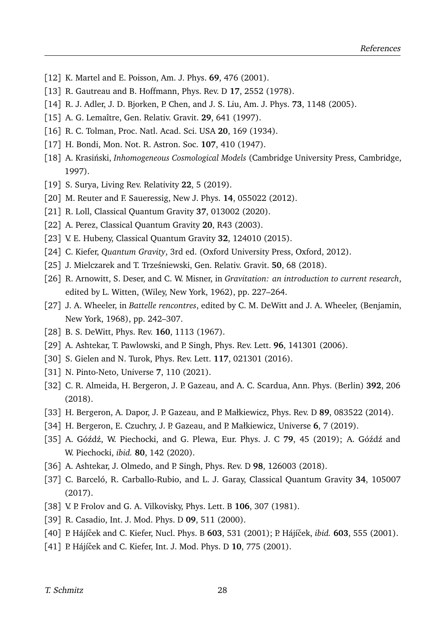- <span id="page-27-0"></span>[12] K. Martel and E. Poisson, Am. J. Phys. **69**, 476 (2001).
- <span id="page-27-1"></span>[13] R. Gautreau and B. Hoffmann, Phys. Rev. D **17**, 2552 (1978).
- <span id="page-27-2"></span>[14] R. J. Adler, J. D. Bjorken, P. Chen, and J. S. Liu, Am. J. Phys. **73**, 1148 (2005).
- <span id="page-27-3"></span>[15] A. G. Lemaître, Gen. Relativ. Gravit. **29**, 641 (1997).
- [16] R. C. Tolman, Proc. Natl. Acad. Sci. USA **20**, 169 (1934).
- <span id="page-27-4"></span>[17] H. Bondi, Mon. Not. R. Astron. Soc. **107**, 410 (1947).
- <span id="page-27-5"></span>[18] A. Krasiński, *Inhomogeneous Cosmological Models* (Cambridge University Press, Cambridge, 1997).
- <span id="page-27-6"></span>[19] S. Surya, Living Rev. Relativity **22**, 5 (2019).
- <span id="page-27-7"></span>[20] M. Reuter and F. Saueressig, New J. Phys. **14**, 055022 (2012).
- <span id="page-27-8"></span>[21] R. Loll, Classical Quantum Gravity **37**, 013002 (2020).
- <span id="page-27-9"></span>[22] A. Perez, Classical Quantum Gravity **20**, R43 (2003).
- <span id="page-27-10"></span>[23] V. E. Hubeny, Classical Quantum Gravity **32**, 124010 (2015).
- <span id="page-27-11"></span>[24] C. Kiefer, *Quantum Gravity*, 3rd ed. (Oxford University Press, Oxford, 2012).
- <span id="page-27-12"></span>[25] J. Mielczarek and T. Trześniewski, Gen. Relativ. Gravit. **50**, 68 (2018).
- <span id="page-27-13"></span>[26] R. Arnowitt, S. Deser, and C. W. Misner, in *Gravitation: an introduction to current research*, edited by L. Witten, (Wiley, New York, 1962), pp. 227–264.
- <span id="page-27-14"></span>[27] J. A. Wheeler, in *Battelle rencontres*, edited by C. M. DeWitt and J. A. Wheeler, (Benjamin, New York, 1968), pp. 242–307.
- <span id="page-27-15"></span>[28] B. S. DeWitt, Phys. Rev. **160**, 1113 (1967).
- <span id="page-27-16"></span>[29] A. Ashtekar, T. Pawlowski, and P. Singh, Phys. Rev. Lett. **96**, 141301 (2006).
- [30] S. Gielen and N. Turok, Phys. Rev. Lett. **117**, 021301 (2016).
- [31] N. Pinto-Neto, Universe **7**, 110 (2021).
- [32] C. R. Almeida, H. Bergeron, J. P. Gazeau, and A. C. Scardua, Ann. Phys. (Berlin) **392**, 206 (2018).
- [33] H. Bergeron, A. Dapor, J. P. Gazeau, and P. Małkiewicz, Phys. Rev. D **89**, 083522 (2014).
- [34] H. Bergeron, E. Czuchry, J. P. Gazeau, and P. Małkiewicz, Universe **6**, 7 (2019).
- <span id="page-27-17"></span>[35] A. Góźdź, W. Piechocki, and G. Plewa, Eur. Phys. J. C 79, 45 (2019); A. Góźdź and W. Piechocki, *ibid.* **80**, 142 (2020).
- <span id="page-27-18"></span>[36] A. Ashtekar, J. Olmedo, and P. Singh, Phys. Rev. D **98**, 126003 (2018).
- <span id="page-27-19"></span>[37] C. Barceló, R. Carballo-Rubio, and L. J. Garay, Classical Quantum Gravity **34**, 105007 (2017).
- <span id="page-27-20"></span>[38] V. P. Frolov and G. A. Vilkovisky, Phys. Lett. B **106**, 307 (1981).
- [39] R. Casadio, Int. J. Mod. Phys. D **09**, 511 (2000).
- <span id="page-27-21"></span>[40] P. Hájíˇcek and C. Kiefer, Nucl. Phys. B **603**, 531 (2001); P. Hájíˇcek, *ibid.* **603**, 555 (2001).
- [41] P. Hájíček and C. Kiefer, Int. J. Mod. Phys. D 10, 775 (2001).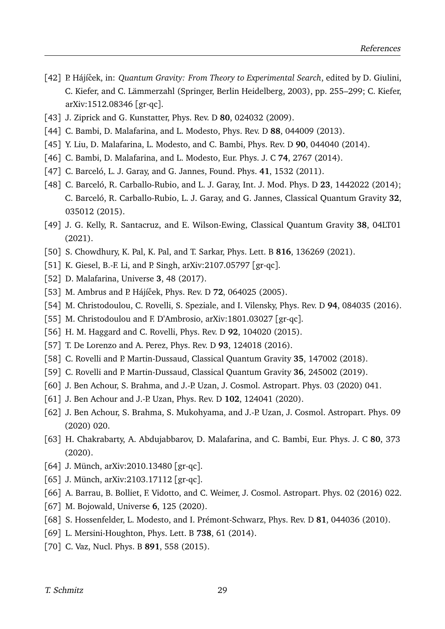- <span id="page-28-2"></span>[42] P. Hájíček, in: *Quantum Gravity: From Theory to Experimental Search*, edited by D. Giulini, C. Kiefer, and C. Lämmerzahl (Springer, Berlin Heidelberg, 2003), pp. 255–299; C. Kiefer, arXiv:1512.08346 [gr-qc].
- [43] J. Ziprick and G. Kunstatter, Phys. Rev. D **80**, 024032 (2009).
- [44] C. Bambi, D. Malafarina, and L. Modesto, Phys. Rev. D **88**, 044009 (2013).
- [45] Y. Liu, D. Malafarina, L. Modesto, and C. Bambi, Phys. Rev. D **90**, 044040 (2014).
- [46] C. Bambi, D. Malafarina, and L. Modesto, Eur. Phys. J. C **74**, 2767 (2014).
- <span id="page-28-15"></span>[47] C. Barceló, L. J. Garay, and G. Jannes, Found. Phys. **41**, 1532 (2011).
- <span id="page-28-16"></span>[48] C. Barceló, R. Carballo-Rubio, and L. J. Garay, Int. J. Mod. Phys. D **23**, 1442022 (2014); C. Barceló, R. Carballo-Rubio, L. J. Garay, and G. Jannes, Classical Quantum Gravity **32**, 035012 (2015).
- <span id="page-28-10"></span>[49] J. G. Kelly, R. Santacruz, and E. Wilson-Ewing, Classical Quantum Gravity **38**, 04LT01 (2021).
- [50] S. Chowdhury, K. Pal, K. Pal, and T. Sarkar, Phys. Lett. B **816**, 136269 (2021).
- <span id="page-28-0"></span>[51] K. Giesel, B.-F. Li, and P. Singh, arXiv:2107.05797 [gr-qc].
- <span id="page-28-1"></span>[52] D. Malafarina, Universe **3**, 48 (2017).
- <span id="page-28-3"></span>[53] M. Ambrus and P. Hájíček, Phys. Rev. D **72**, 064025 (2005).
- <span id="page-28-4"></span>[54] M. Christodoulou, C. Rovelli, S. Speziale, and I. Vilensky, Phys. Rev. D **94**, 084035 (2016).
- <span id="page-28-5"></span>[55] M. Christodoulou and F. D'Ambrosio, arXiv:1801.03027 [gr-qc].
- <span id="page-28-6"></span>[56] H. M. Haggard and C. Rovelli, Phys. Rev. D **92**, 104020 (2015).
- <span id="page-28-17"></span>[57] T. De Lorenzo and A. Perez, Phys. Rev. D **93**, 124018 (2016).
- [58] C. Rovelli and P. Martin-Dussaud, Classical Quantum Gravity **35**, 147002 (2018).
- <span id="page-28-7"></span>[59] C. Rovelli and P. Martin-Dussaud, Classical Quantum Gravity **36**, 245002 (2019).
- <span id="page-28-8"></span>[60] J. Ben Achour, S. Brahma, and J.-P. Uzan, J. Cosmol. Astropart. Phys. 03 (2020) 041.
- [61] J. Ben Achour and J.-P. Uzan, Phys. Rev. D **102**, 124041 (2020).
- [62] J. Ben Achour, S. Brahma, S. Mukohyama, and J.-P. Uzan, J. Cosmol. Astropart. Phys. 09 (2020) 020.
- [63] H. Chakrabarty, A. Abdujabbarov, D. Malafarina, and C. Bambi, Eur. Phys. J. C **80**, 373 (2020).
- <span id="page-28-9"></span>[64] J. Münch, arXiv:2010.13480 [gr-qc].
- <span id="page-28-11"></span>[65] J. Münch, arXiv:2103.17112 [gr-qc].
- <span id="page-28-12"></span>[66] A. Barrau, B. Bolliet, F. Vidotto, and C. Weimer, J. Cosmol. Astropart. Phys. 02 (2016) 022.
- <span id="page-28-13"></span>[67] M. Bojowald, Universe **6**, 125 (2020).
- <span id="page-28-14"></span>[68] S. Hossenfelder, L. Modesto, and I. Prémont-Schwarz, Phys. Rev. D **81**, 044036 (2010).
- [69] L. Mersini-Houghton, Phys. Lett. B **738**, 61 (2014).
- [70] C. Vaz, Nucl. Phys. B **891**, 558 (2015).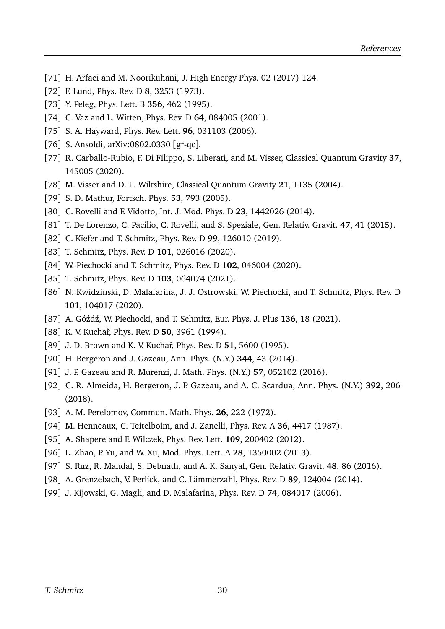- <span id="page-29-0"></span>[71] H. Arfaei and M. Noorikuhani, J. High Energy Phys. 02 (2017) 124.
- <span id="page-29-1"></span>[72] F. Lund, Phys. Rev. D **8**, 3253 (1973).
- [73] Y. Peleg, Phys. Lett. B **356**, 462 (1995).
- <span id="page-29-2"></span>[74] C. Vaz and L. Witten, Phys. Rev. D **64**, 084005 (2001).
- <span id="page-29-3"></span>[75] S. A. Hayward, Phys. Rev. Lett. **96**, 031103 (2006).
- [76] S. Ansoldi, arXiv:0802.0330 [gr-qc].
- <span id="page-29-4"></span>[77] R. Carballo-Rubio, F. Di Filippo, S. Liberati, and M. Visser, Classical Quantum Gravity **37**, 145005 (2020).
- <span id="page-29-5"></span>[78] M. Visser and D. L. Wiltshire, Classical Quantum Gravity **21**, 1135 (2004).
- <span id="page-29-6"></span>[79] S. D. Mathur, Fortsch. Phys. **53**, 793 (2005).
- <span id="page-29-7"></span>[80] C. Rovelli and F. Vidotto, Int. J. Mod. Phys. D **23**, 1442026 (2014).
- <span id="page-29-8"></span>[81] T. De Lorenzo, C. Pacilio, C. Rovelli, and S. Speziale, Gen. Relativ. Gravit. **47**, 41 (2015).
- <span id="page-29-9"></span>[82] C. Kiefer and T. Schmitz, Phys. Rev. D **99**, 126010 (2019).
- <span id="page-29-13"></span>[83] T. Schmitz, Phys. Rev. D **101**, 026016 (2020).
- <span id="page-29-16"></span>[84] W. Piechocki and T. Schmitz, Phys. Rev. D **102**, 046004 (2020).
- <span id="page-29-10"></span>[85] T. Schmitz, Phys. Rev. D **103**, 064074 (2021).
- <span id="page-29-11"></span>[86] N. Kwidzinski, D. Malafarina, J. J. Ostrowski, W. Piechocki, and T. Schmitz, Phys. Rev. D **101**, 104017 (2020).
- <span id="page-29-12"></span>[87] A. Góźdź, W. Piechocki, and T. Schmitz, Eur. Phys. J. Plus 136, 18 (2021).
- <span id="page-29-14"></span>[88] K. V. Kuchař, Phys. Rev. D **50**, 3961 (1994).
- <span id="page-29-15"></span>[89] J. D. Brown and K. V. Kuchař, Phys. Rev. D 51, 5600 (1995).
- <span id="page-29-17"></span>[90] H. Bergeron and J. Gazeau, Ann. Phys. (N.Y.) **344**, 43 (2014).
- [91] J. P. Gazeau and R. Murenzi, J. Math. Phys. (N.Y.) **57**, 052102 (2016).
- <span id="page-29-18"></span>[92] C. R. Almeida, H. Bergeron, J. P. Gazeau, and A. C. Scardua, Ann. Phys. (N.Y.) **392**, 206 (2018).
- <span id="page-29-19"></span>[93] A. M. Perelomov, Commun. Math. Phys. **26**, 222 (1972).
- <span id="page-29-20"></span>[94] M. Henneaux, C. Teitelboim, and J. Zanelli, Phys. Rev. A **36**, 4417 (1987).
- [95] A. Shapere and F. Wilczek, Phys. Rev. Lett. **109**, 200402 (2012).
- [96] L. Zhao, P. Yu, and W. Xu, Mod. Phys. Lett. A **28**, 1350002 (2013).
- <span id="page-29-21"></span>[97] S. Ruz, R. Mandal, S. Debnath, and A. K. Sanyal, Gen. Relativ. Gravit. **48**, 86 (2016).
- <span id="page-29-22"></span>[98] A. Grenzebach, V. Perlick, and C. Lämmerzahl, Phys. Rev. D **89**, 124004 (2014).
- <span id="page-29-23"></span>[99] J. Kijowski, G. Magli, and D. Malafarina, Phys. Rev. D **74**, 084017 (2006).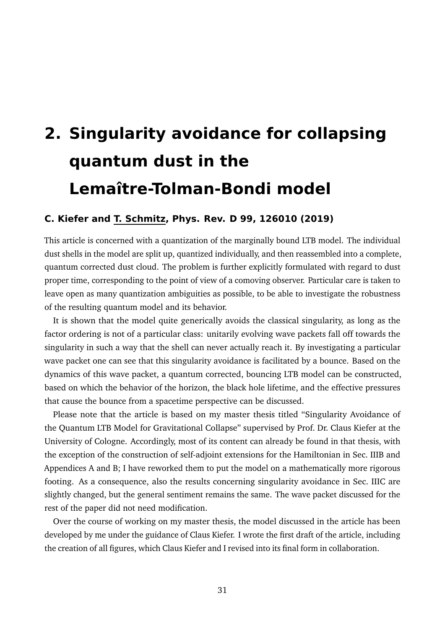# <span id="page-30-0"></span>**2. Singularity avoidance for collapsing quantum dust in the Lemaître-Tolman-Bondi model**

#### **C. Kiefer and T. Schmitz, Phys. Rev. D 99, 126010 (2019)**

This article is concerned with a quantization of the marginally bound LTB model. The individual dust shells in the model are split up, quantized individually, and then reassembled into a complete, quantum corrected dust cloud. The problem is further explicitly formulated with regard to dust proper time, corresponding to the point of view of a comoving observer. Particular care is taken to leave open as many quantization ambiguities as possible, to be able to investigate the robustness of the resulting quantum model and its behavior.

It is shown that the model quite generically avoids the classical singularity, as long as the factor ordering is not of a particular class: unitarily evolving wave packets fall off towards the singularity in such a way that the shell can never actually reach it. By investigating a particular wave packet one can see that this singularity avoidance is facilitated by a bounce. Based on the dynamics of this wave packet, a quantum corrected, bouncing LTB model can be constructed, based on which the behavior of the horizon, the black hole lifetime, and the effective pressures that cause the bounce from a spacetime perspective can be discussed.

Please note that the article is based on my master thesis titled "Singularity Avoidance of the Quantum LTB Model for Gravitational Collapse" supervised by Prof. Dr. Claus Kiefer at the University of Cologne. Accordingly, most of its content can already be found in that thesis, with the exception of the construction of self-adjoint extensions for the Hamiltonian in Sec. IIIB and Appendices A and B; I have reworked them to put the model on a mathematically more rigorous footing. As a consequence, also the results concerning singularity avoidance in Sec. IIIC are slightly changed, but the general sentiment remains the same. The wave packet discussed for the rest of the paper did not need modification.

Over the course of working on my master thesis, the model discussed in the article has been developed by me under the guidance of Claus Kiefer. I wrote the first draft of the article, including the creation of all figures, which Claus Kiefer and I revised into its final form in collaboration.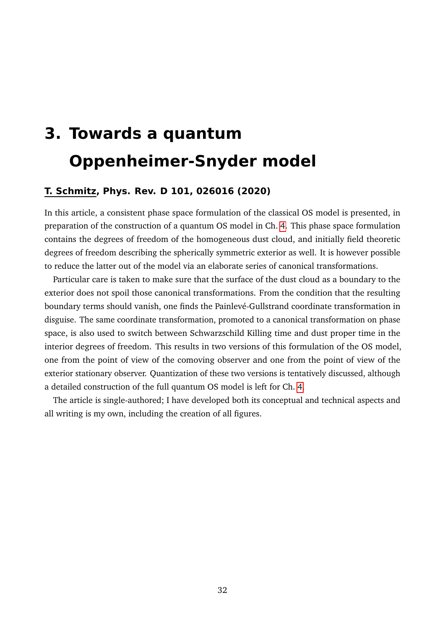# <span id="page-31-0"></span>**3. Towards a quantum Oppenheimer-Snyder model**

#### **T. Schmitz, Phys. Rev. D 101, 026016 (2020)**

In this article, a consistent phase space formulation of the classical OS model is presented, in preparation of the construction of a quantum OS model in Ch. [4.](#page-32-0) This phase space formulation contains the degrees of freedom of the homogeneous dust cloud, and initially field theoretic degrees of freedom describing the spherically symmetric exterior as well. It is however possible to reduce the latter out of the model via an elaborate series of canonical transformations.

Particular care is taken to make sure that the surface of the dust cloud as a boundary to the exterior does not spoil those canonical transformations. From the condition that the resulting boundary terms should vanish, one finds the Painlevé-Gullstrand coordinate transformation in disguise. The same coordinate transformation, promoted to a canonical transformation on phase space, is also used to switch between Schwarzschild Killing time and dust proper time in the interior degrees of freedom. This results in two versions of this formulation of the OS model, one from the point of view of the comoving observer and one from the point of view of the exterior stationary observer. Quantization of these two versions is tentatively discussed, although a detailed construction of the full quantum OS model is left for Ch. [4.](#page-32-0)

The article is single-authored; I have developed both its conceptual and technical aspects and all writing is my own, including the creation of all figures.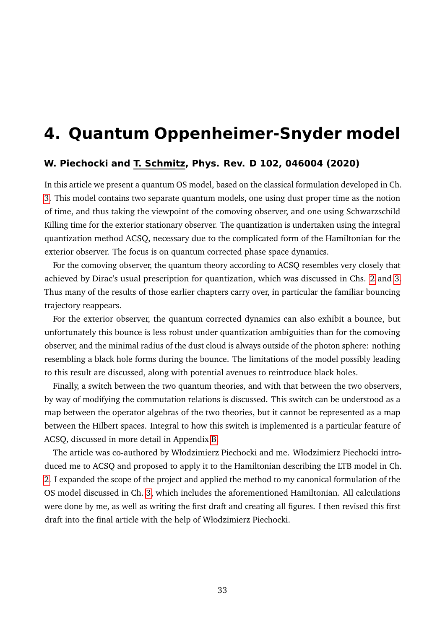# <span id="page-32-0"></span>**4. Quantum Oppenheimer-Snyder model**

#### **W. Piechocki and T. Schmitz, Phys. Rev. D 102, 046004 (2020)**

In this article we present a quantum OS model, based on the classical formulation developed in Ch. [3.](#page-31-0) This model contains two separate quantum models, one using dust proper time as the notion of time, and thus taking the viewpoint of the comoving observer, and one using Schwarzschild Killing time for the exterior stationary observer. The quantization is undertaken using the integral quantization method ACSQ, necessary due to the complicated form of the Hamiltonian for the exterior observer. The focus is on quantum corrected phase space dynamics.

For the comoving observer, the quantum theory according to ACSQ resembles very closely that achieved by Dirac's usual prescription for quantization, which was discussed in Chs. [2](#page-30-0) and [3.](#page-31-0) Thus many of the results of those earlier chapters carry over, in particular the familiar bouncing trajectory reappears.

For the exterior observer, the quantum corrected dynamics can also exhibit a bounce, but unfortunately this bounce is less robust under quantization ambiguities than for the comoving observer, and the minimal radius of the dust cloud is always outside of the photon sphere: nothing resembling a black hole forms during the bounce. The limitations of the model possibly leading to this result are discussed, along with potential avenues to reintroduce black holes.

Finally, a switch between the two quantum theories, and with that between the two observers, by way of modifying the commutation relations is discussed. This switch can be understood as a map between the operator algebras of the two theories, but it cannot be represented as a map between the Hilbert spaces. Integral to how this switch is implemented is a particular feature of ACSQ, discussed in more detail in Appendix [B.](#page-42-0)

The article was co-authored by Włodzimierz Piechocki and me. Włodzimierz Piechocki introduced me to ACSQ and proposed to apply it to the Hamiltonian describing the LTB model in Ch. [2.](#page-30-0) I expanded the scope of the project and applied the method to my canonical formulation of the OS model discussed in Ch. [3,](#page-31-0) which includes the aforementioned Hamiltonian. All calculations were done by me, as well as writing the first draft and creating all figures. I then revised this first draft into the final article with the help of Włodzimierz Piechocki.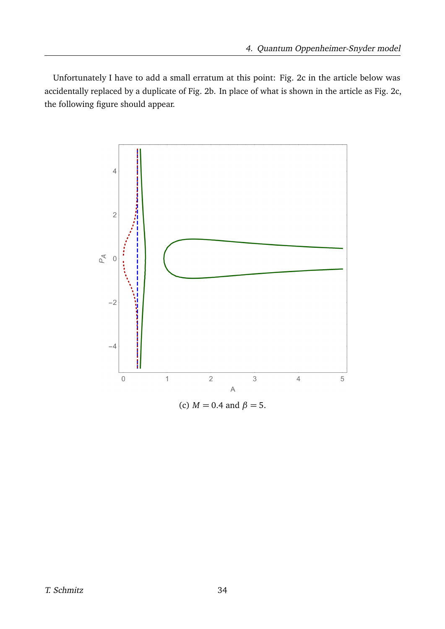Unfortunately I have to add a small erratum at this point: Fig. 2c in the article below was accidentally replaced by a duplicate of Fig. 2b. In place of what is shown in the article as Fig. 2c, the following figure should appear.



(c)  $M = 0.4$  and  $\beta = 5$ .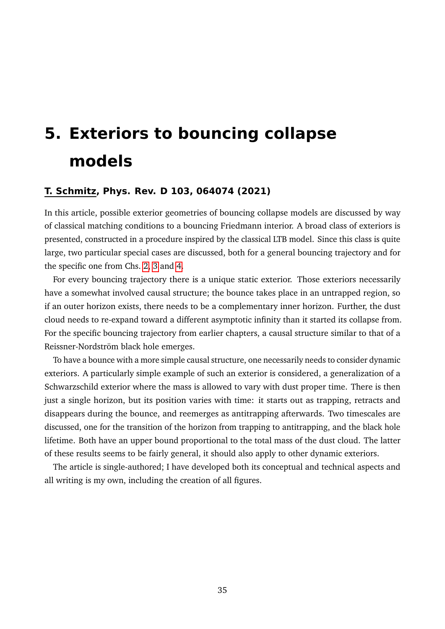# <span id="page-34-0"></span>**5. Exteriors to bouncing collapse models**

#### **T. Schmitz, Phys. Rev. D 103, 064074 (2021)**

In this article, possible exterior geometries of bouncing collapse models are discussed by way of classical matching conditions to a bouncing Friedmann interior. A broad class of exteriors is presented, constructed in a procedure inspired by the classical LTB model. Since this class is quite large, two particular special cases are discussed, both for a general bouncing trajectory and for the specific one from Chs. [2,](#page-30-0) [3](#page-31-0) and [4.](#page-32-0)

For every bouncing trajectory there is a unique static exterior. Those exteriors necessarily have a somewhat involved causal structure; the bounce takes place in an untrapped region, so if an outer horizon exists, there needs to be a complementary inner horizon. Further, the dust cloud needs to re-expand toward a different asymptotic infinity than it started its collapse from. For the specific bouncing trajectory from earlier chapters, a causal structure similar to that of a Reissner-Nordström black hole emerges.

To have a bounce with a more simple causal structure, one necessarily needs to consider dynamic exteriors. A particularly simple example of such an exterior is considered, a generalization of a Schwarzschild exterior where the mass is allowed to vary with dust proper time. There is then just a single horizon, but its position varies with time: it starts out as trapping, retracts and disappears during the bounce, and reemerges as antitrapping afterwards. Two timescales are discussed, one for the transition of the horizon from trapping to antitrapping, and the black hole lifetime. Both have an upper bound proportional to the total mass of the dust cloud. The latter of these results seems to be fairly general, it should also apply to other dynamic exteriors.

The article is single-authored; I have developed both its conceptual and technical aspects and all writing is my own, including the creation of all figures.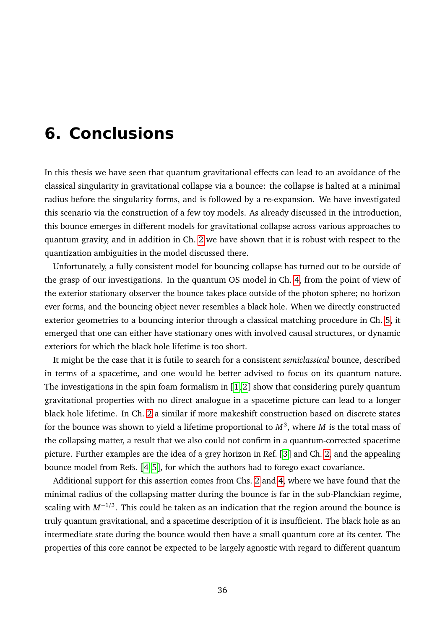# <span id="page-35-0"></span>**6. Conclusions**

In this thesis we have seen that quantum gravitational effects can lead to an avoidance of the classical singularity in gravitational collapse via a bounce: the collapse is halted at a minimal radius before the singularity forms, and is followed by a re-expansion. We have investigated this scenario via the construction of a few toy models. As already discussed in the introduction, this bounce emerges in different models for gravitational collapse across various approaches to quantum gravity, and in addition in Ch. [2](#page-30-0) we have shown that it is robust with respect to the quantization ambiguities in the model discussed there.

Unfortunately, a fully consistent model for bouncing collapse has turned out to be outside of the grasp of our investigations. In the quantum OS model in Ch. [4,](#page-32-0) from the point of view of the exterior stationary observer the bounce takes place outside of the photon sphere; no horizon ever forms, and the bouncing object never resembles a black hole. When we directly constructed exterior geometries to a bouncing interior through a classical matching procedure in Ch. [5,](#page-34-0) it emerged that one can either have stationary ones with involved causal structures, or dynamic exteriors for which the black hole lifetime is too short.

It might be the case that it is futile to search for a consistent *semiclassical* bounce, described in terms of a spacetime, and one would be better advised to focus on its quantum nature. The investigations in the spin foam formalism in  $\lceil 1, 2 \rceil$  $\lceil 1, 2 \rceil$  $\lceil 1, 2 \rceil$  $\lceil 1, 2 \rceil$  show that considering purely quantum gravitational properties with no direct analogue in a spacetime picture can lead to a longer black hole lifetime. In Ch. [2](#page-30-0) a similar if more makeshift construction based on discrete states for the bounce was shown to yield a lifetime proportional to  $M^3$ , where  $M$  is the total mass of the collapsing matter, a result that we also could not confirm in a quantum-corrected spacetime picture. Further examples are the idea of a grey horizon in Ref. [[3](#page-39-2)] and Ch. [2,](#page-30-0) and the appealing bounce model from Refs. [[4,](#page-39-3) [5](#page-39-4)], for which the authors had to forego exact covariance.

Additional support for this assertion comes from Chs. [2](#page-30-0) and [4,](#page-32-0) where we have found that the minimal radius of the collapsing matter during the bounce is far in the sub-Planckian regime, scaling with *M*<sup>−</sup>1*/*<sup>3</sup> . This could be taken as an indication that the region around the bounce is truly quantum gravitational, and a spacetime description of it is insufficient. The black hole as an intermediate state during the bounce would then have a small quantum core at its center. The properties of this core cannot be expected to be largely agnostic with regard to different quantum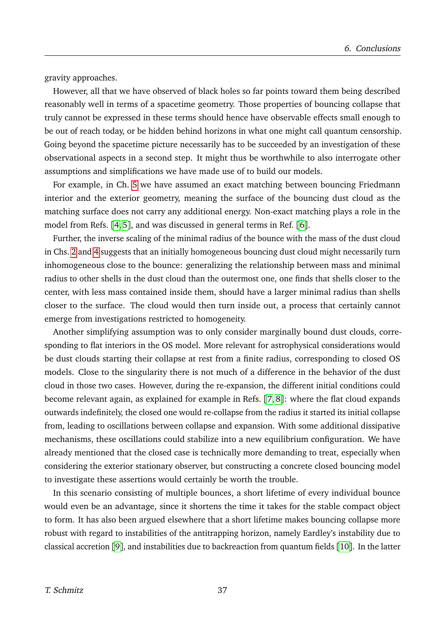gravity approaches.

However, all that we have observed of black holes so far points toward them being described reasonably well in terms of a spacetime geometry. Those properties of bouncing collapse that truly cannot be expressed in these terms should hence have observable effects small enough to be out of reach today, or be hidden behind horizons in what one might call quantum censorship. Going beyond the spacetime picture necessarily has to be succeeded by an investigation of these observational aspects in a second step. It might thus be worthwhile to also interrogate other assumptions and simplifications we have made use of to build our models.

For example, in Ch. [5](#page-34-0) we have assumed an exact matching between bouncing Friedmann interior and the exterior geometry, meaning the surface of the bouncing dust cloud as the matching surface does not carry any additional energy. Non-exact matching plays a role in the model from Refs. [[4,](#page-39-3) [5](#page-39-4)], and was discussed in general terms in Ref. [[6](#page-39-5)].

Further, the inverse scaling of the minimal radius of the bounce with the mass of the dust cloud in Chs. [2](#page-30-0) and [4](#page-32-0) suggests that an initially homogeneous bouncing dust cloud might necessarily turn inhomogeneous close to the bounce: generalizing the relationship between mass and minimal radius to other shells in the dust cloud than the outermost one, one finds that shells closer to the center, with less mass contained inside them, should have a larger minimal radius than shells closer to the surface. The cloud would then turn inside out, a process that certainly cannot emerge from investigations restricted to homogeneity.

Another simplifying assumption was to only consider marginally bound dust clouds, corresponding to flat interiors in the OS model. More relevant for astrophysical considerations would be dust clouds starting their collapse at rest from a finite radius, corresponding to closed OS models. Close to the singularity there is not much of a difference in the behavior of the dust cloud in those two cases. However, during the re-expansion, the different initial conditions could become relevant again, as explained for example in Refs. [[7,](#page-39-6) [8](#page-39-7)]: where the flat cloud expands outwards indefinitely, the closed one would re-collapse from the radius it started its initial collapse from, leading to oscillations between collapse and expansion. With some additional dissipative mechanisms, these oscillations could stabilize into a new equilibrium configuration. We have already mentioned that the closed case is technically more demanding to treat, especially when considering the exterior stationary observer, but constructing a concrete closed bouncing model to investigate these assertions would certainly be worth the trouble.

In this scenario consisting of multiple bounces, a short lifetime of every individual bounce would even be an advantage, since it shortens the time it takes for the stable compact object to form. It has also been argued elsewhere that a short lifetime makes bouncing collapse more robust with regard to instabilities of the antitrapping horizon, namely Eardley's instability due to classical accretion [[9](#page-39-8)], and instabilities due to backreaction from quantum fields [[10](#page-39-9)]. In the latter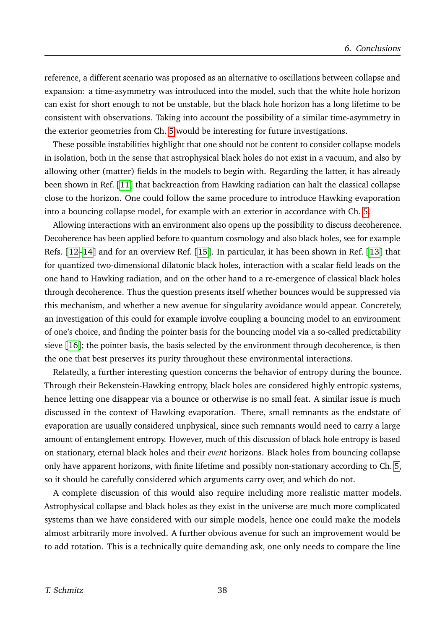reference, a different scenario was proposed as an alternative to oscillations between collapse and expansion: a time-asymmetry was introduced into the model, such that the white hole horizon can exist for short enough to not be unstable, but the black hole horizon has a long lifetime to be consistent with observations. Taking into account the possibility of a similar time-asymmetry in the exterior geometries from Ch. [5](#page-34-0) would be interesting for future investigations.

These possible instabilities highlight that one should not be content to consider collapse models in isolation, both in the sense that astrophysical black holes do not exist in a vacuum, and also by allowing other (matter) fields in the models to begin with. Regarding the latter, it has already been shown in Ref. [[11](#page-39-10)] that backreaction from Hawking radiation can halt the classical collapse close to the horizon. One could follow the same procedure to introduce Hawking evaporation into a bouncing collapse model, for example with an exterior in accordance with Ch. [5.](#page-34-0)

Allowing interactions with an environment also opens up the possibility to discuss decoherence. Decoherence has been applied before to quantum cosmology and also black holes, see for example Refs. [[12](#page-39-11)[–14](#page-39-12)] and for an overview Ref. [[15](#page-39-13)]. In particular, it has been shown in Ref. [[13](#page-39-14)] that for quantized two-dimensional dilatonic black holes, interaction with a scalar field leads on the one hand to Hawking radiation, and on the other hand to a re-emergence of classical black holes through decoherence. Thus the question presents itself whether bounces would be suppressed via this mechanism, and whether a new avenue for singularity avoidance would appear. Concretely, an investigation of this could for example involve coupling a bouncing model to an environment of one's choice, and finding the pointer basis for the bouncing model via a so-called predictability sieve [[16](#page-39-15)]; the pointer basis, the basis selected by the environment through decoherence, is then the one that best preserves its purity throughout these environmental interactions.

Relatedly, a further interesting question concerns the behavior of entropy during the bounce. Through their Bekenstein-Hawking entropy, black holes are considered highly entropic systems, hence letting one disappear via a bounce or otherwise is no small feat. A similar issue is much discussed in the context of Hawking evaporation. There, small remnants as the endstate of evaporation are usually considered unphysical, since such remnants would need to carry a large amount of entanglement entropy. However, much of this discussion of black hole entropy is based on stationary, eternal black holes and their *event* horizons. Black holes from bouncing collapse only have apparent horizons, with finite lifetime and possibly non-stationary according to Ch. [5,](#page-34-0) so it should be carefully considered which arguments carry over, and which do not.

A complete discussion of this would also require including more realistic matter models. Astrophysical collapse and black holes as they exist in the universe are much more complicated systems than we have considered with our simple models, hence one could make the models almost arbitrarily more involved. A further obvious avenue for such an improvement would be to add rotation. This is a technically quite demanding ask, one only needs to compare the line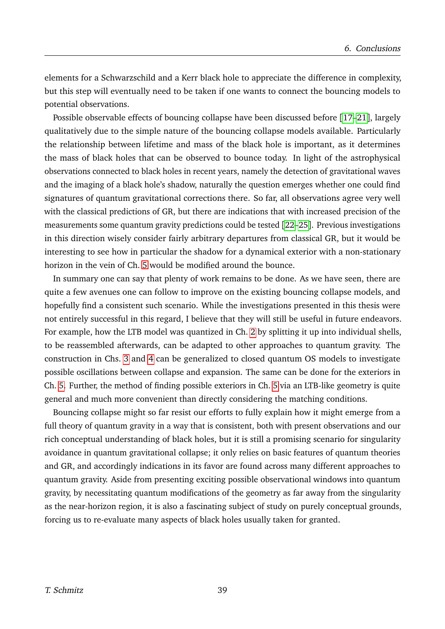elements for a Schwarzschild and a Kerr black hole to appreciate the difference in complexity, but this step will eventually need to be taken if one wants to connect the bouncing models to potential observations.

Possible observable effects of bouncing collapse have been discussed before [[17–](#page-39-16)[21](#page-39-17)], largely qualitatively due to the simple nature of the bouncing collapse models available. Particularly the relationship between lifetime and mass of the black hole is important, as it determines the mass of black holes that can be observed to bounce today. In light of the astrophysical observations connected to black holes in recent years, namely the detection of gravitational waves and the imaging of a black hole's shadow, naturally the question emerges whether one could find signatures of quantum gravitational corrections there. So far, all observations agree very well with the classical predictions of GR, but there are indications that with increased precision of the measurements some quantum gravity predictions could be tested [[22–](#page-39-18)[25](#page-39-19)]. Previous investigations in this direction wisely consider fairly arbitrary departures from classical GR, but it would be interesting to see how in particular the shadow for a dynamical exterior with a non-stationary horizon in the vein of Ch. [5](#page-34-0) would be modified around the bounce.

In summary one can say that plenty of work remains to be done. As we have seen, there are quite a few avenues one can follow to improve on the existing bouncing collapse models, and hopefully find a consistent such scenario. While the investigations presented in this thesis were not entirely successful in this regard, I believe that they will still be useful in future endeavors. For example, how the LTB model was quantized in Ch. [2](#page-30-0) by splitting it up into individual shells, to be reassembled afterwards, can be adapted to other approaches to quantum gravity. The construction in Chs. [3](#page-31-0) and [4](#page-32-0) can be generalized to closed quantum OS models to investigate possible oscillations between collapse and expansion. The same can be done for the exteriors in Ch. [5.](#page-34-0) Further, the method of finding possible exteriors in Ch. [5](#page-34-0) via an LTB-like geometry is quite general and much more convenient than directly considering the matching conditions.

Bouncing collapse might so far resist our efforts to fully explain how it might emerge from a full theory of quantum gravity in a way that is consistent, both with present observations and our rich conceptual understanding of black holes, but it is still a promising scenario for singularity avoidance in quantum gravitational collapse; it only relies on basic features of quantum theories and GR, and accordingly indications in its favor are found across many different approaches to quantum gravity. Aside from presenting exciting possible observational windows into quantum gravity, by necessitating quantum modifications of the geometry as far away from the singularity as the near-horizon region, it is also a fascinating subject of study on purely conceptual grounds, forcing us to re-evaluate many aspects of black holes usually taken for granted.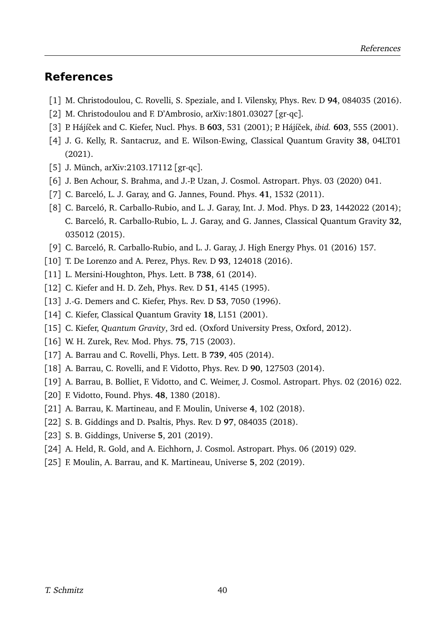### **References**

- <span id="page-39-0"></span>[1] M. Christodoulou, C. Rovelli, S. Speziale, and I. Vilensky, Phys. Rev. D **94**, 084035 (2016).
- <span id="page-39-1"></span>[2] M. Christodoulou and F. D'Ambrosio, arXiv:1801.03027 [gr-qc].
- <span id="page-39-2"></span>[3] P. Hájíˇcek and C. Kiefer, Nucl. Phys. B **603**, 531 (2001); P. Hájíˇcek, *ibid.* **603**, 555 (2001).
- <span id="page-39-3"></span>[4] J. G. Kelly, R. Santacruz, and E. Wilson-Ewing, Classical Quantum Gravity **38**, 04LT01 (2021).
- <span id="page-39-4"></span>[5] J. Münch, arXiv:2103.17112 [gr-qc].
- <span id="page-39-5"></span>[6] J. Ben Achour, S. Brahma, and J.-P. Uzan, J. Cosmol. Astropart. Phys. 03 (2020) 041.
- <span id="page-39-6"></span>[7] C. Barceló, L. J. Garay, and G. Jannes, Found. Phys. **41**, 1532 (2011).
- <span id="page-39-7"></span>[8] C. Barceló, R. Carballo-Rubio, and L. J. Garay, Int. J. Mod. Phys. D **23**, 1442022 (2014); C. Barceló, R. Carballo-Rubio, L. J. Garay, and G. Jannes, Classical Quantum Gravity **32**, 035012 (2015).
- <span id="page-39-8"></span>[9] C. Barceló, R. Carballo-Rubio, and L. J. Garay, J. High Energy Phys. 01 (2016) 157.
- <span id="page-39-9"></span>[10] T. De Lorenzo and A. Perez, Phys. Rev. D **93**, 124018 (2016).
- <span id="page-39-10"></span>[11] L. Mersini-Houghton, Phys. Lett. B **738**, 61 (2014).
- <span id="page-39-11"></span>[12] C. Kiefer and H. D. Zeh, Phys. Rev. D **51**, 4145 (1995).
- <span id="page-39-14"></span>[13] J.-G. Demers and C. Kiefer, Phys. Rev. D **53**, 7050 (1996).
- <span id="page-39-12"></span>[14] C. Kiefer, Classical Quantum Gravity **18**, L151 (2001).
- <span id="page-39-13"></span>[15] C. Kiefer, *Quantum Gravity*, 3rd ed. (Oxford University Press, Oxford, 2012).
- <span id="page-39-15"></span>[16] W. H. Zurek, Rev. Mod. Phys. **75**, 715 (2003).
- <span id="page-39-16"></span>[17] A. Barrau and C. Rovelli, Phys. Lett. B **739**, 405 (2014).
- [18] A. Barrau, C. Rovelli, and F. Vidotto, Phys. Rev. D **90**, 127503 (2014).
- [19] A. Barrau, B. Bolliet, F. Vidotto, and C. Weimer, J. Cosmol. Astropart. Phys. 02 (2016) 022.
- [20] F. Vidotto, Found. Phys. **48**, 1380 (2018).
- <span id="page-39-17"></span>[21] A. Barrau, K. Martineau, and F. Moulin, Universe **4**, 102 (2018).
- <span id="page-39-18"></span>[22] S. B. Giddings and D. Psaltis, Phys. Rev. D **97**, 084035 (2018).
- [23] S. B. Giddings, Universe **5**, 201 (2019).
- [24] A. Held, R. Gold, and A. Eichhorn, J. Cosmol. Astropart. Phys. 06 (2019) 029.
- <span id="page-39-19"></span>[25] F. Moulin, A. Barrau, and K. Martineau, Universe **5**, 202 (2019).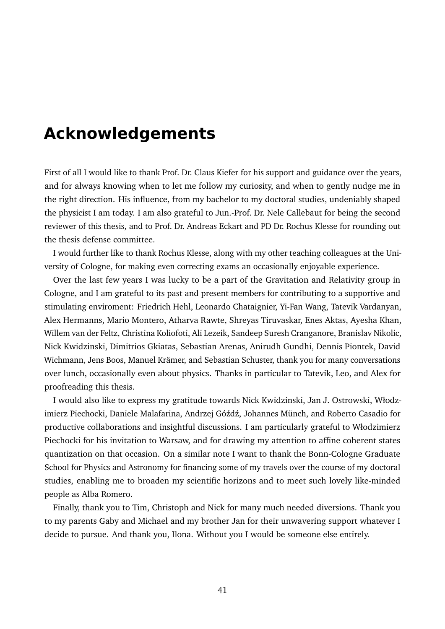## <span id="page-40-0"></span>**Acknowledgements**

First of all I would like to thank Prof. Dr. Claus Kiefer for his support and guidance over the years, and for always knowing when to let me follow my curiosity, and when to gently nudge me in the right direction. His influence, from my bachelor to my doctoral studies, undeniably shaped the physicist I am today. I am also grateful to Jun.-Prof. Dr. Nele Callebaut for being the second reviewer of this thesis, and to Prof. Dr. Andreas Eckart and PD Dr. Rochus Klesse for rounding out the thesis defense committee.

I would further like to thank Rochus Klesse, along with my other teaching colleagues at the University of Cologne, for making even correcting exams an occasionally enjoyable experience.

Over the last few years I was lucky to be a part of the Gravitation and Relativity group in Cologne, and I am grateful to its past and present members for contributing to a supportive and stimulating enviroment: Friedrich Hehl, Leonardo Chataignier, Yi-Fan Wang, Tatevik Vardanyan, Alex Hermanns, Mario Montero, Atharva Rawte, Shreyas Tiruvaskar, Enes Aktas, Ayesha Khan, Willem van der Feltz, Christina Koliofoti, Ali Lezeik, Sandeep Suresh Cranganore, Branislav Nikolic, Nick Kwidzinski, Dimitrios Gkiatas, Sebastian Arenas, Anirudh Gundhi, Dennis Piontek, David Wichmann, Jens Boos, Manuel Krämer, and Sebastian Schuster, thank you for many conversations over lunch, occasionally even about physics. Thanks in particular to Tatevik, Leo, and Alex for proofreading this thesis.

I would also like to express my gratitude towards Nick Kwidzinski, Jan J. Ostrowski, Włodzimierz Piechocki, Daniele Malafarina, Andrzej Góźdź, Johannes Münch, and Roberto Casadio for productive collaborations and insightful discussions. I am particularly grateful to Włodzimierz Piechocki for his invitation to Warsaw, and for drawing my attention to affine coherent states quantization on that occasion. On a similar note I want to thank the Bonn-Cologne Graduate School for Physics and Astronomy for financing some of my travels over the course of my doctoral studies, enabling me to broaden my scientific horizons and to meet such lovely like-minded people as Alba Romero.

Finally, thank you to Tim, Christoph and Nick for many much needed diversions. Thank you to my parents Gaby and Michael and my brother Jan for their unwavering support whatever I decide to pursue. And thank you, Ilona. Without you I would be someone else entirely.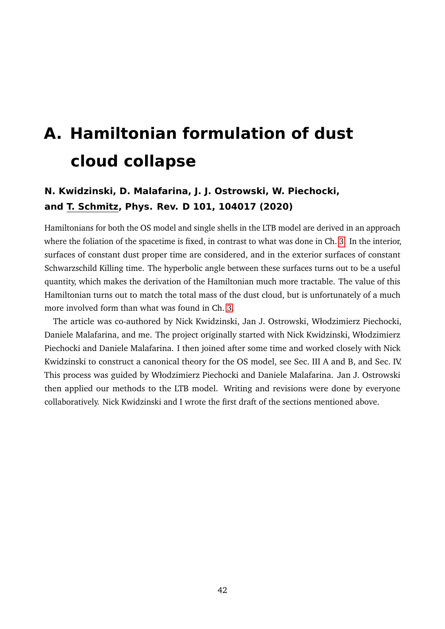# <span id="page-41-0"></span>**A. Hamiltonian formulation of dust cloud collapse**

## **N. Kwidzinski, D. Malafarina, J. J. Ostrowski, W. Piechocki, and T. Schmitz, Phys. Rev. D 101, 104017 (2020)**

Hamiltonians for both the OS model and single shells in the LTB model are derived in an approach where the foliation of the spacetime is fixed, in contrast to what was done in Ch. [3.](#page-31-0) In the interior, surfaces of constant dust proper time are considered, and in the exterior surfaces of constant Schwarzschild Killing time. The hyperbolic angle between these surfaces turns out to be a useful quantity, which makes the derivation of the Hamiltonian much more tractable. The value of this Hamiltonian turns out to match the total mass of the dust cloud, but is unfortunately of a much more involved form than what was found in Ch. [3.](#page-31-0)

The article was co-authored by Nick Kwidzinski, Jan J. Ostrowski, Włodzimierz Piechocki, Daniele Malafarina, and me. The project originally started with Nick Kwidzinski, Włodzimierz Piechocki and Daniele Malafarina. I then joined after some time and worked closely with Nick Kwidzinski to construct a canonical theory for the OS model, see Sec. III A and B, and Sec. IV. This process was guided by Włodzimierz Piechocki and Daniele Malafarina. Jan J. Ostrowski then applied our methods to the LTB model. Writing and revisions were done by everyone collaboratively. Nick Kwidzinski and I wrote the first draft of the sections mentioned above.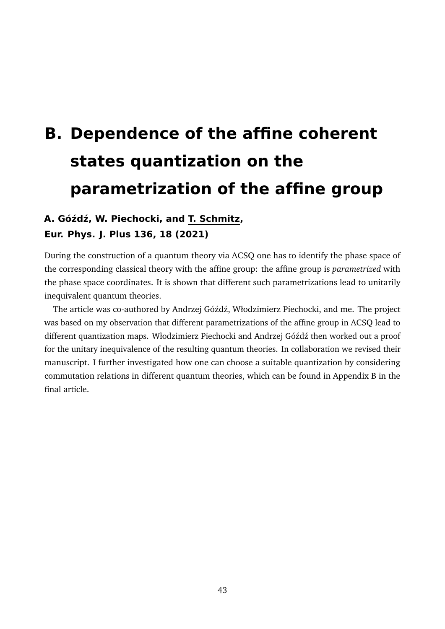# <span id="page-42-0"></span>**B. Dependence of the affine coherent states quantization on the parametrization of the affine group**

## **A. Gó´zd´z, W. Piechocki, and T. Schmitz, Eur. Phys. J. Plus 136, 18 (2021)**

During the construction of a quantum theory via ACSQ one has to identify the phase space of the corresponding classical theory with the affine group: the affine group is *parametrized* with the phase space coordinates. It is shown that different such parametrizations lead to unitarily inequivalent quantum theories.

The article was co-authored by Andrzej Góźdź, Włodzimierz Piechocki, and me. The project was based on my observation that different parametrizations of the affine group in ACSQ lead to different quantization maps. Włodzimierz Piechocki and Andrzej Góźdź then worked out a proof for the unitary inequivalence of the resulting quantum theories. In collaboration we revised their manuscript. I further investigated how one can choose a suitable quantization by considering commutation relations in different quantum theories, which can be found in Appendix B in the final article.